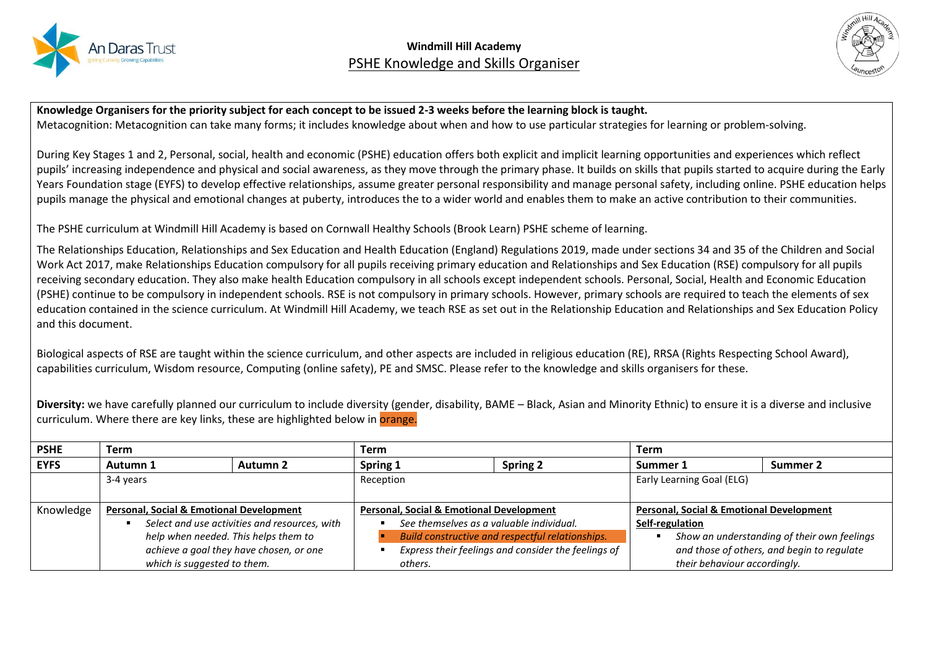



**Knowledge Organisers for the priority subject for each concept to be issued 2-3 weeks before the learning block is taught.** Metacognition: Metacognition can take many forms; it includes knowledge about when and how to use particular strategies for learning or problem-solving.

During Key Stages 1 and 2, Personal, social, health and economic (PSHE) education offers both explicit and implicit learning opportunities and experiences which reflect pupils' increasing independence and physical and social awareness, as they move through the primary phase. It builds on skills that pupils started to acquire during the Early Years Foundation stage (EYFS) to develop effective relationships, assume greater personal responsibility and manage personal safety, including online. PSHE education helps pupils manage the physical and emotional changes at puberty, introduces the to a wider world and enables them to make an active contribution to their communities.

The PSHE curriculum at Windmill Hill Academy is based on Cornwall Healthy Schools (Brook Learn) PSHE scheme of learning.

The Relationships Education, Relationships and Sex Education and Health Education (England) Regulations 2019, made under sections 34 and 35 of the Children and Social Work Act 2017, make Relationships Education compulsory for all pupils receiving primary education and Relationships and Sex Education (RSE) compulsory for all pupils receiving secondary education. They also make health Education compulsory in all schools except independent schools. Personal, Social, Health and Economic Education (PSHE) continue to be compulsory in independent schools. RSE is not compulsory in primary schools. However, primary schools are required to teach the elements of sex education contained in the science curriculum. At Windmill Hill Academy, we teach RSE as set out in the Relationship Education and Relationships and Sex Education Policy and this document.

Biological aspects of RSE are taught within the science curriculum, and other aspects are included in religious education (RE), RRSA (Rights Respecting School Award), capabilities curriculum, Wisdom resource, Computing (online safety), PE and SMSC. Please refer to the knowledge and skills organisers for these.

**Diversity:** we have carefully planned our curriculum to include diversity (gender, disability, BAME – Black, Asian and Minority Ethnic) to ensure it is a diverse and inclusive curriculum. Where there are key links, these are highlighted below in **orange**.

| <b>PSHE</b> | Term                                                |                                               | Term                                                |         |                                                     | Term                                       |                              |                                             |
|-------------|-----------------------------------------------------|-----------------------------------------------|-----------------------------------------------------|---------|-----------------------------------------------------|--------------------------------------------|------------------------------|---------------------------------------------|
| <b>EYFS</b> | Autumn 1                                            | Autumn 2                                      | Spring 1                                            |         | <b>Spring 2</b>                                     | Summer 1                                   |                              | Summer 2                                    |
|             | 3-4 years                                           |                                               | Reception                                           |         |                                                     |                                            | Early Learning Goal (ELG)    |                                             |
|             |                                                     |                                               |                                                     |         |                                                     |                                            |                              |                                             |
| Knowledge   | <b>Personal, Social &amp; Emotional Development</b> |                                               | <b>Personal, Social &amp; Emotional Development</b> |         | <b>Personal, Social &amp; Emotional Development</b> |                                            |                              |                                             |
|             |                                                     | Select and use activities and resources, with | See themselves as a valuable individual.            |         | Self-regulation                                     |                                            |                              |                                             |
|             | help when needed. This helps them to                |                                               |                                                     |         | Build constructive and respectful relationships.    |                                            |                              | Show an understanding of their own feelings |
|             | achieve a goal they have chosen, or one             |                                               | Express their feelings and consider the feelings of |         |                                                     | and those of others, and begin to regulate |                              |                                             |
|             | which is suggested to them.                         |                                               |                                                     | others. |                                                     |                                            | their behaviour accordingly. |                                             |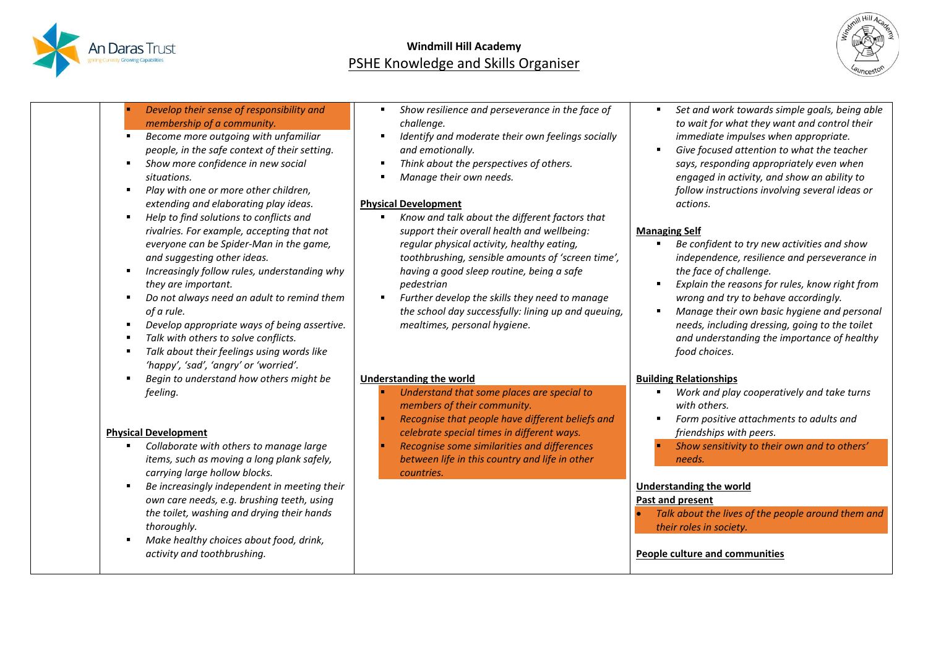



| Develop their sense of responsibility and<br>membership of a community.<br>Become more outgoing with unfamiliar<br>people, in the safe context of their setting.<br>Show more confidence in new social<br>situations.<br>Play with one or more other children,<br>٠<br>extending and elaborating play ideas.<br>Help to find solutions to conflicts and<br>٠<br>rivalries. For example, accepting that not  | Show resilience and perseverance in the face of<br>challenge.<br>Identify and moderate their own feelings socially<br>л<br>and emotionally.<br>Think about the perspectives of others.<br>×<br>Manage their own needs.<br><b>Physical Development</b><br>Know and talk about the different factors that<br>support their overall health and wellbeing: | Set and work towards simple goals, being able<br>to wait for what they want and control their<br>immediate impulses when appropriate.<br>Give focused attention to what the teacher<br>says, responding appropriately even when<br>engaged in activity, and show an ability to<br>follow instructions involving several ideas or<br>actions.<br><b>Managing Self</b>                         |
|-------------------------------------------------------------------------------------------------------------------------------------------------------------------------------------------------------------------------------------------------------------------------------------------------------------------------------------------------------------------------------------------------------------|--------------------------------------------------------------------------------------------------------------------------------------------------------------------------------------------------------------------------------------------------------------------------------------------------------------------------------------------------------|----------------------------------------------------------------------------------------------------------------------------------------------------------------------------------------------------------------------------------------------------------------------------------------------------------------------------------------------------------------------------------------------|
| everyone can be Spider-Man in the game,<br>and suggesting other ideas.<br>Increasingly follow rules, understanding why<br>they are important.<br>Do not always need an adult to remind them<br>of a rule.<br>Develop appropriate ways of being assertive.<br>Talk with others to solve conflicts.<br>Talk about their feelings using words like<br>'happy', 'sad', 'angry' or 'worried'.                    | regular physical activity, healthy eating,<br>toothbrushing, sensible amounts of 'screen time',<br>having a good sleep routine, being a safe<br>pedestrian<br>Further develop the skills they need to manage<br>the school day successfully: lining up and queuing,<br>mealtimes, personal hygiene.                                                    | Be confident to try new activities and show<br>٠<br>independence, resilience and perseverance in<br>the face of challenge.<br>Explain the reasons for rules, know right from<br>wrong and try to behave accordingly.<br>Manage their own basic hygiene and personal<br>needs, including dressing, going to the toilet<br>and understanding the importance of healthy<br>food choices.        |
| Begin to understand how others might be                                                                                                                                                                                                                                                                                                                                                                     | <b>Understanding the world</b>                                                                                                                                                                                                                                                                                                                         | <b>Building Relationships</b>                                                                                                                                                                                                                                                                                                                                                                |
| feeling.<br><b>Physical Development</b><br>Collaborate with others to manage large<br>items, such as moving a long plank safely,<br>carrying large hollow blocks.<br>Be increasingly independent in meeting their<br>٠<br>own care needs, e.g. brushing teeth, using<br>the toilet, washing and drying their hands<br>thoroughly.<br>Make healthy choices about food, drink,<br>activity and toothbrushing. | Understand that some places are special to<br>members of their community.<br>Recognise that people have different beliefs and<br>celebrate special times in different ways.<br>Recognise some similarities and differences<br>between life in this country and life in other<br>countries.                                                             | Work and play cooperatively and take turns<br>$\blacksquare$<br>with others.<br>Form positive attachments to adults and<br>friendships with peers.<br>Show sensitivity to their own and to others'<br>needs.<br><b>Understanding the world</b><br>Past and present<br>Talk about the lives of the people around them and<br>their roles in society.<br><b>People culture and communities</b> |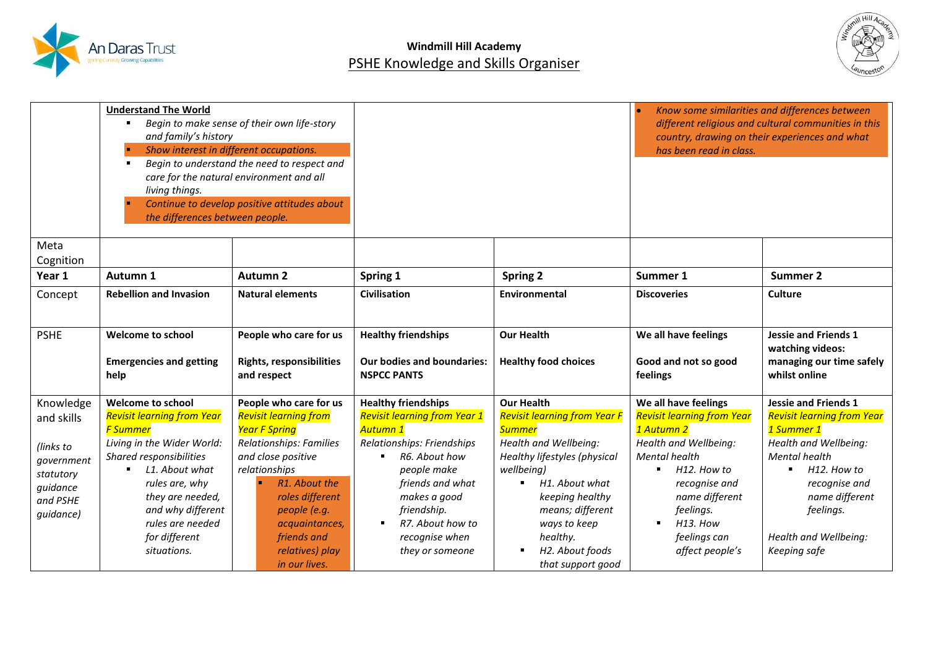



|                      | <b>Understand The World</b><br>Begin to make sense of their own life-story<br>and family's history<br>Show interest in different occupations.<br>×<br>Begin to understand the need to respect and<br>$\blacksquare$<br>care for the natural environment and all<br>living things.<br>Continue to develop positive attitudes about<br>H<br>the differences between people. |                                                |                                                  |                                                       | has been read in class.                       | Know some similarities and differences between<br>different religious and cultural communities in this<br>country, drawing on their experiences and what |
|----------------------|---------------------------------------------------------------------------------------------------------------------------------------------------------------------------------------------------------------------------------------------------------------------------------------------------------------------------------------------------------------------------|------------------------------------------------|--------------------------------------------------|-------------------------------------------------------|-----------------------------------------------|----------------------------------------------------------------------------------------------------------------------------------------------------------|
| Meta<br>Cognition    |                                                                                                                                                                                                                                                                                                                                                                           |                                                |                                                  |                                                       |                                               |                                                                                                                                                          |
| Year 1               | Autumn 1                                                                                                                                                                                                                                                                                                                                                                  | <b>Autumn 2</b>                                | Spring 1                                         | <b>Spring 2</b>                                       | Summer 1                                      | <b>Summer 2</b>                                                                                                                                          |
| Concept              | <b>Rebellion and Invasion</b>                                                                                                                                                                                                                                                                                                                                             | <b>Natural elements</b>                        | <b>Civilisation</b>                              | Environmental                                         | <b>Discoveries</b>                            | Culture                                                                                                                                                  |
|                      |                                                                                                                                                                                                                                                                                                                                                                           |                                                |                                                  |                                                       |                                               |                                                                                                                                                          |
| <b>PSHE</b>          | <b>Welcome to school</b>                                                                                                                                                                                                                                                                                                                                                  | People who care for us                         | <b>Healthy friendships</b>                       | <b>Our Health</b>                                     | We all have feelings                          | <b>Jessie and Friends 1</b>                                                                                                                              |
|                      | <b>Emergencies and getting</b><br>help                                                                                                                                                                                                                                                                                                                                    | <b>Rights, responsibilities</b><br>and respect | Our bodies and boundaries:<br><b>NSPCC PANTS</b> | <b>Healthy food choices</b>                           | Good and not so good<br>feelings              | watching videos:<br>managing our time safely<br>whilst online                                                                                            |
| Knowledge            | <b>Welcome to school</b>                                                                                                                                                                                                                                                                                                                                                  | People who care for us                         | <b>Healthy friendships</b>                       | <b>Our Health</b>                                     | We all have feelings                          | <b>Jessie and Friends 1</b>                                                                                                                              |
| and skills           | <b>Revisit learning from Year</b>                                                                                                                                                                                                                                                                                                                                         | <b>Revisit learning from</b>                   | <b>Revisit learning from Year 1</b>              | <b>Revisit learning from Year F</b>                   | <b>Revisit learning from Year</b>             | <b>Revisit learning from Year</b>                                                                                                                        |
|                      | <b>F Summer</b>                                                                                                                                                                                                                                                                                                                                                           | <b>Year F Spring</b>                           | Autumn 1                                         | <b>Summer</b>                                         | 1 Autumn 2                                    | 1 Summer 1                                                                                                                                               |
| (links to            | Living in the Wider World:<br>Shared responsibilities                                                                                                                                                                                                                                                                                                                     | Relationships: Families<br>and close positive  | Relationships: Friendships<br>R6. About how<br>٠ | Health and Wellbeing:<br>Healthy lifestyles (physical | Health and Wellbeing:<br><b>Mental health</b> | Health and Wellbeing:<br><b>Mental health</b>                                                                                                            |
| government           | L1. About what                                                                                                                                                                                                                                                                                                                                                            | relationships                                  | people make                                      | wellbeing)                                            | H12. How to<br>$\blacksquare$                 | H12. How to                                                                                                                                              |
| statutory            | rules are, why                                                                                                                                                                                                                                                                                                                                                            | R1. About the                                  | friends and what                                 | H1. About what<br>٠                                   | recognise and                                 | recognise and                                                                                                                                            |
| guidance<br>and PSHE | they are needed,                                                                                                                                                                                                                                                                                                                                                          | roles different                                | makes a good                                     | keeping healthy                                       | name different                                | name different                                                                                                                                           |
| guidance)            | and why different                                                                                                                                                                                                                                                                                                                                                         | people (e.g.                                   | friendship.                                      | means; different                                      | feelings.                                     | feelings.                                                                                                                                                |
|                      | rules are needed                                                                                                                                                                                                                                                                                                                                                          | acquaintances,                                 | R7. About how to<br>$\blacksquare$               | ways to keep                                          | $H13.$ How<br>$\blacksquare$                  |                                                                                                                                                          |
|                      | for different                                                                                                                                                                                                                                                                                                                                                             | friends and                                    | recognise when                                   | healthy.                                              | feelings can                                  | Health and Wellbeing:                                                                                                                                    |
|                      | situations.                                                                                                                                                                                                                                                                                                                                                               | relatives) play                                | they or someone                                  | H2. About foods<br>٠                                  | affect people's                               | Keeping safe                                                                                                                                             |
|                      |                                                                                                                                                                                                                                                                                                                                                                           | in our lives.                                  |                                                  | that support good                                     |                                               |                                                                                                                                                          |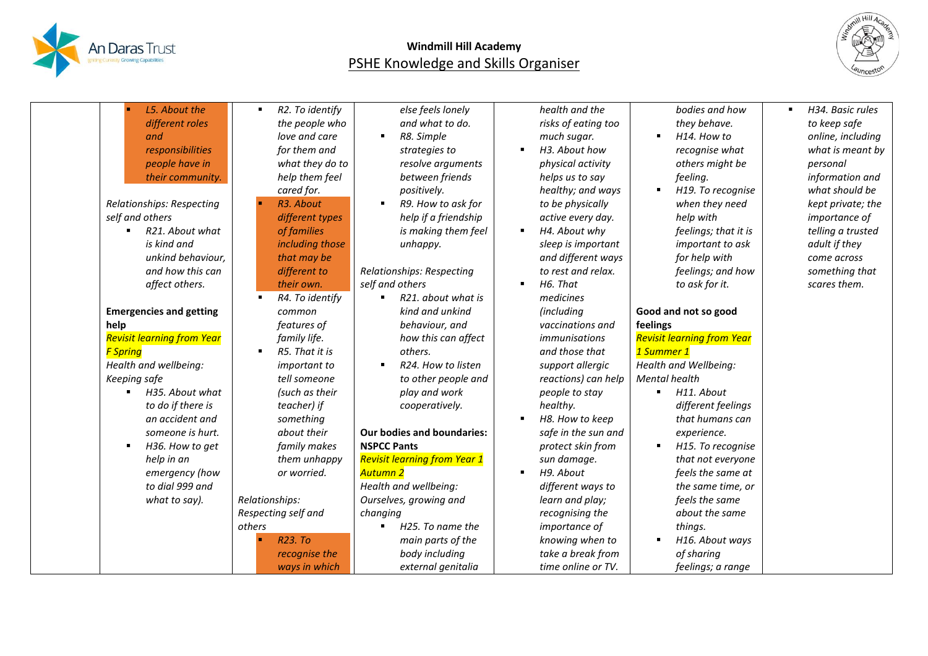



| L5. About the<br>different roles<br>and<br>responsibilities<br>people have in<br>their community.<br>Relationships: Respecting<br>self and others<br>R21. About what<br>is kind and<br>unkind behaviour,<br>and how this can<br>affect others.<br><b>Emergencies and getting</b><br>help<br><b>Revisit learning from Year</b><br><b>F Spring</b><br>Health and wellbeing:<br>Keeping safe<br>H35. About what<br>$\blacksquare$<br>to do if there is<br>an accident and<br>someone is hurt.<br>H36. How to get<br>$\blacksquare$<br>help in an<br>emergency (how<br>to dial 999 and<br>what to say). | R2. To identify<br>the people who<br>love and care<br>for them and<br>what they do to<br>help them feel<br>cared for.<br>R3. About<br>different types<br>of families<br>including those<br>that may be<br>different to<br>their own.<br>R4. To identify<br>common<br>features of<br>family life.<br>R5. That it is<br><i>important to</i><br>tell someone<br>(such as their<br>teacher) if<br>something<br>about their<br>family makes<br>them unhappy<br>or worried.<br>Relationships:<br>Respecting self and<br>others<br>R <sub>23</sub> . To<br>recognise the | else feels lonely<br>and what to do.<br>R8. Simple<br>strategies to<br>resolve arguments<br>between friends<br>positively.<br>R9. How to ask for<br>help if a friendship<br>is making them feel<br>unhappy.<br>Relationships: Respecting<br>self and others<br>R21. about what is<br>kind and unkind<br>behaviour, and<br>how this can affect<br>others.<br>R24. How to listen<br>to other people and<br>play and work<br>cooperatively.<br><b>Our bodies and boundaries:</b><br><b>NSPCC Pants</b><br><b>Revisit learning from Year 1</b><br>Autumn 2<br>Health and wellbeing:<br>Ourselves, growing and<br>changing<br>H25. To name the<br>main parts of the<br>body including | health and the<br>risks of eating too<br>much sugar.<br>H3. About how<br>physical activity<br>helps us to say<br>healthy; and ways<br>to be physically<br>active every day.<br>H4. About why<br>sleep is important<br>and different ways<br>to rest and relax.<br>H6. That<br>medicines<br>(including<br>vaccinations and<br><i>immunisations</i><br>and those that<br>support allergic<br>reactions) can help<br>people to stay<br>healthy.<br>H8. How to keep<br>safe in the sun and<br>protect skin from<br>sun damage.<br>H9. About<br>different ways to<br>learn and play;<br>recognising the<br><i>importance</i> of<br>knowing when to<br>take a break from | bodies and how<br>they behave.<br>H14. How to<br>recognise what<br>others might be<br>feeling.<br>H19. To recognise<br>when they need<br>help with<br>feelings; that it is<br>important to ask<br>for help with<br>feelings; and how<br>to ask for it.<br>Good and not so good<br>feelings<br><b>Revisit learning from Year</b><br>1 Summer 1<br>Health and Wellbeing:<br>Mental health<br>H11. About<br>different feelings<br>that humans can<br>experience.<br>H15. To recognise<br>that not everyone<br>feels the same at<br>the same time, or<br>feels the same<br>about the same<br>things.<br>H16. About ways<br>of sharing | H34. Basic rules<br>٠<br>to keep safe<br>online, including<br>what is meant by<br>personal<br>information and<br>what should be<br>kept private; the<br><i>importance of</i><br>telling a trusted<br>adult if they<br>come across<br>something that<br>scares them. |
|-----------------------------------------------------------------------------------------------------------------------------------------------------------------------------------------------------------------------------------------------------------------------------------------------------------------------------------------------------------------------------------------------------------------------------------------------------------------------------------------------------------------------------------------------------------------------------------------------------|-------------------------------------------------------------------------------------------------------------------------------------------------------------------------------------------------------------------------------------------------------------------------------------------------------------------------------------------------------------------------------------------------------------------------------------------------------------------------------------------------------------------------------------------------------------------|----------------------------------------------------------------------------------------------------------------------------------------------------------------------------------------------------------------------------------------------------------------------------------------------------------------------------------------------------------------------------------------------------------------------------------------------------------------------------------------------------------------------------------------------------------------------------------------------------------------------------------------------------------------------------------|--------------------------------------------------------------------------------------------------------------------------------------------------------------------------------------------------------------------------------------------------------------------------------------------------------------------------------------------------------------------------------------------------------------------------------------------------------------------------------------------------------------------------------------------------------------------------------------------------------------------------------------------------------------------|-----------------------------------------------------------------------------------------------------------------------------------------------------------------------------------------------------------------------------------------------------------------------------------------------------------------------------------------------------------------------------------------------------------------------------------------------------------------------------------------------------------------------------------------------------------------------------------------------------------------------------------|---------------------------------------------------------------------------------------------------------------------------------------------------------------------------------------------------------------------------------------------------------------------|
|                                                                                                                                                                                                                                                                                                                                                                                                                                                                                                                                                                                                     | ways in which                                                                                                                                                                                                                                                                                                                                                                                                                                                                                                                                                     | external genitalia                                                                                                                                                                                                                                                                                                                                                                                                                                                                                                                                                                                                                                                               | time online or TV.                                                                                                                                                                                                                                                                                                                                                                                                                                                                                                                                                                                                                                                 | feelings; a range                                                                                                                                                                                                                                                                                                                                                                                                                                                                                                                                                                                                                 |                                                                                                                                                                                                                                                                     |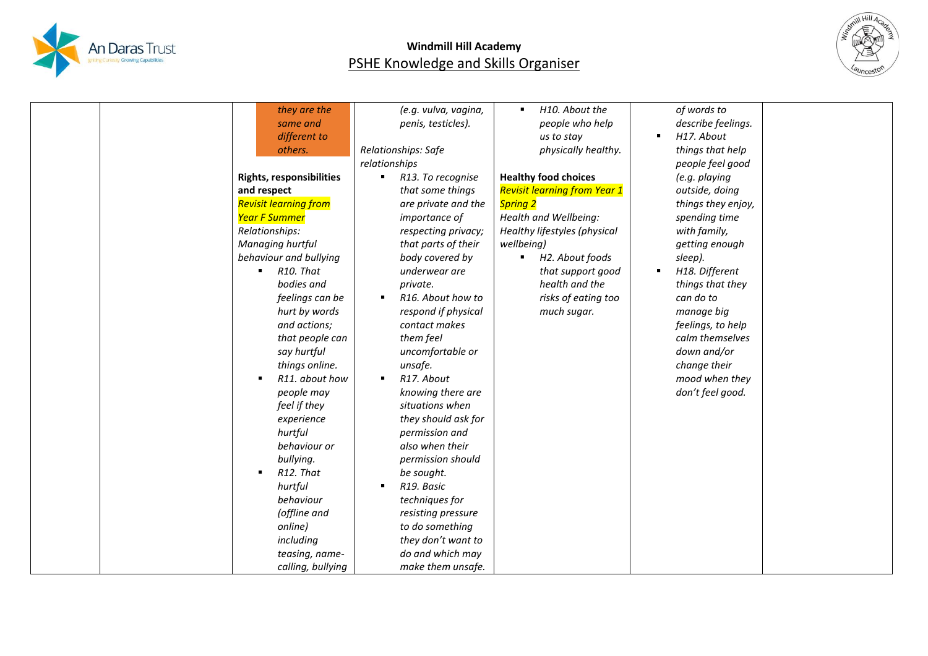



| they are the                    | (e.g. vulva, vagina,         | H10. About the<br>$\blacksquare$    | of words to        |  |
|---------------------------------|------------------------------|-------------------------------------|--------------------|--|
| same and                        | penis, testicles).           | people who help                     | describe feelings. |  |
| different to                    |                              | us to stay                          | H17. About         |  |
| others.                         | Relationships: Safe          | physically healthy.                 | things that help   |  |
|                                 | relationships                |                                     | people feel good   |  |
| <b>Rights, responsibilities</b> | R13. To recognise            | <b>Healthy food choices</b>         | (e.g. playing      |  |
| and respect                     | that some things             | <b>Revisit learning from Year 1</b> | outside, doing     |  |
| <b>Revisit learning from</b>    | are private and the          | <b>Spring 2</b>                     | things they enjoy, |  |
| Year F Summer                   | importance of                | Health and Wellbeing:               | spending time      |  |
| Relationships:                  | respecting privacy;          | Healthy lifestyles (physical        | with family,       |  |
| Managing hurtful                | that parts of their          | wellbeing)                          | getting enough     |  |
| behaviour and bullying          | body covered by              | H2. About foods<br>٠                | sleep).            |  |
| R <sub>10</sub> . That<br>٠     | underwear are                | that support good                   | H18. Different     |  |
| bodies and                      | private.                     | health and the                      | things that they   |  |
| feelings can be                 | R16. About how to            | risks of eating too                 | can do to          |  |
| hurt by words                   | respond if physical          | much sugar.                         | manage big         |  |
| and actions;                    | contact makes                |                                     | feelings, to help  |  |
| that people can                 | them feel                    |                                     | calm themselves    |  |
| say hurtful                     | uncomfortable or             |                                     | down and/or        |  |
| things online.                  | unsafe.                      |                                     | change their       |  |
| R11. about how<br>٠             | R17. About<br>$\blacksquare$ |                                     | mood when they     |  |
| people may                      | knowing there are            |                                     | don't feel good.   |  |
| feel if they                    | situations when              |                                     |                    |  |
| experience                      | they should ask for          |                                     |                    |  |
| hurtful                         | permission and               |                                     |                    |  |
| behaviour or                    | also when their              |                                     |                    |  |
| bullying.                       | permission should            |                                     |                    |  |
| R12. That                       | be sought.                   |                                     |                    |  |
| hurtful                         | R19. Basic                   |                                     |                    |  |
| behaviour                       | techniques for               |                                     |                    |  |
| (offline and                    | resisting pressure           |                                     |                    |  |
| online)                         | to do something              |                                     |                    |  |
| including                       | they don't want to           |                                     |                    |  |
| teasing, name-                  | do and which may             |                                     |                    |  |
| calling, bullying               | make them unsafe.            |                                     |                    |  |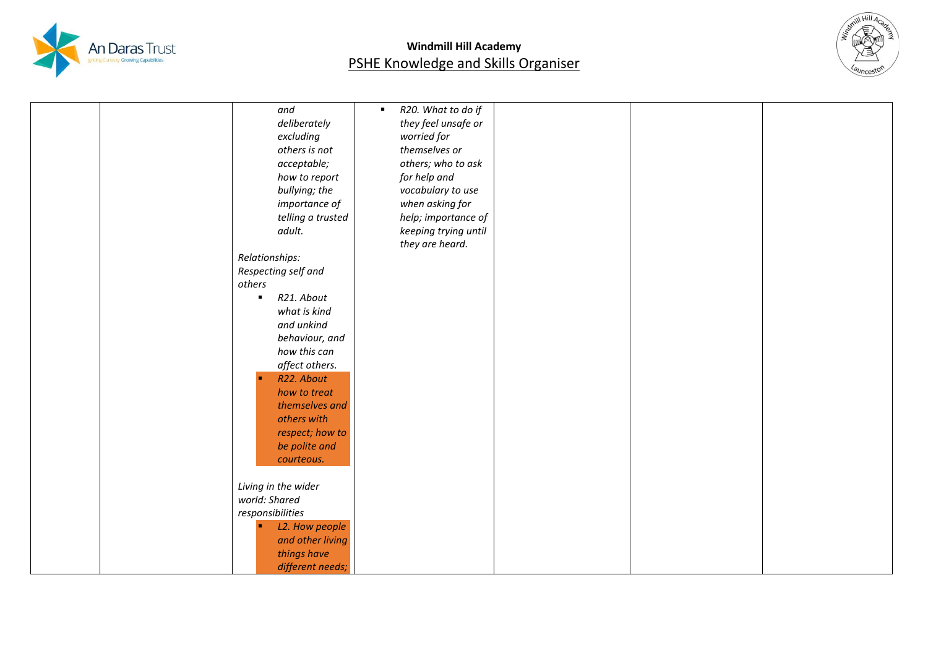



| and                 | R20. What to do if<br>$\blacksquare$ |  |
|---------------------|--------------------------------------|--|
| deliberately        | they feel unsafe or                  |  |
| excluding           | worried for                          |  |
| others is not       | themselves or                        |  |
|                     | others; who to ask                   |  |
| acceptable;         |                                      |  |
| how to report       | for help and                         |  |
| bullying; the       | vocabulary to use                    |  |
| importance of       | when asking for                      |  |
| telling a trusted   | help; importance of                  |  |
| adult.              | keeping trying until                 |  |
|                     | they are heard.                      |  |
| Relationships:      |                                      |  |
| Respecting self and |                                      |  |
| others              |                                      |  |
| R21. About          |                                      |  |
| what is kind        |                                      |  |
| and unkind          |                                      |  |
| behaviour, and      |                                      |  |
| how this can        |                                      |  |
| affect others.      |                                      |  |
| R22. About          |                                      |  |
| how to treat        |                                      |  |
| themselves and      |                                      |  |
| others with         |                                      |  |
| respect; how to     |                                      |  |
| be polite and       |                                      |  |
| courteous.          |                                      |  |
|                     |                                      |  |
| Living in the wider |                                      |  |
| world: Shared       |                                      |  |
|                     |                                      |  |
| responsibilities    |                                      |  |
| L2. How people      |                                      |  |
| and other living    |                                      |  |
| things have         |                                      |  |
| different needs;    |                                      |  |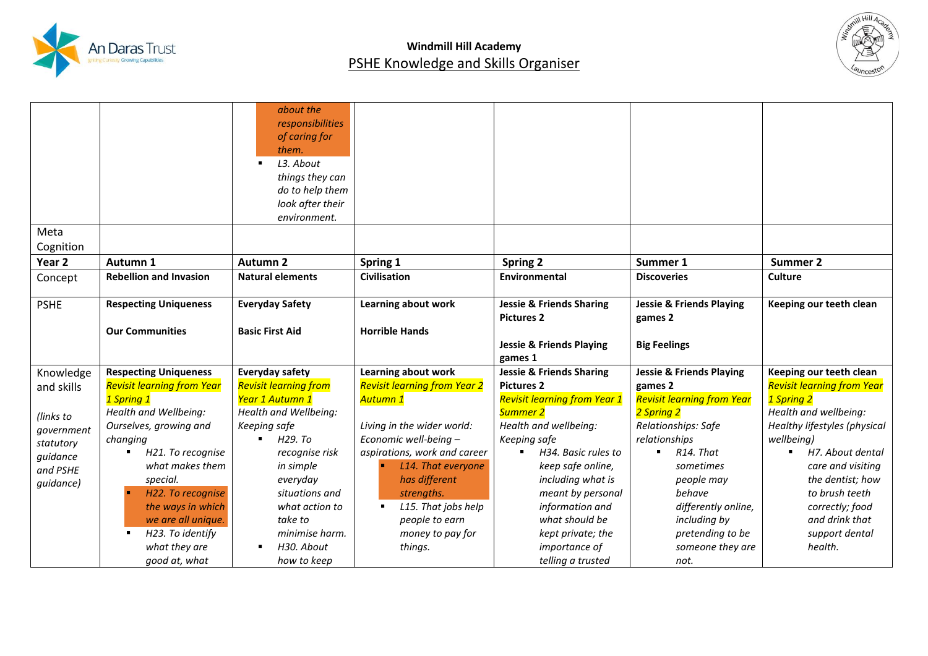



|             |                                    | about the                    |                                     |                                       |                                     |                                   |
|-------------|------------------------------------|------------------------------|-------------------------------------|---------------------------------------|-------------------------------------|-----------------------------------|
|             |                                    | responsibilities             |                                     |                                       |                                     |                                   |
|             |                                    | of caring for                |                                     |                                       |                                     |                                   |
|             |                                    | them.                        |                                     |                                       |                                     |                                   |
|             |                                    | L3. About                    |                                     |                                       |                                     |                                   |
|             |                                    | things they can              |                                     |                                       |                                     |                                   |
|             |                                    | do to help them              |                                     |                                       |                                     |                                   |
|             |                                    | look after their             |                                     |                                       |                                     |                                   |
|             |                                    | environment.                 |                                     |                                       |                                     |                                   |
| Meta        |                                    |                              |                                     |                                       |                                     |                                   |
| Cognition   |                                    |                              |                                     |                                       |                                     |                                   |
| Year 2      | Autumn 1                           | <b>Autumn 2</b>              | Spring 1                            | <b>Spring 2</b>                       | Summer 1                            | <b>Summer 2</b>                   |
| Concept     | <b>Rebellion and Invasion</b>      | <b>Natural elements</b>      | <b>Civilisation</b>                 | <b>Environmental</b>                  | <b>Discoveries</b>                  | <b>Culture</b>                    |
|             |                                    |                              |                                     |                                       |                                     |                                   |
| <b>PSHE</b> | <b>Respecting Uniqueness</b>       | <b>Everyday Safety</b>       | Learning about work                 | <b>Jessie &amp; Friends Sharing</b>   | <b>Jessie &amp; Friends Playing</b> | Keeping our teeth clean           |
|             |                                    |                              |                                     | <b>Pictures 2</b>                     | games 2                             |                                   |
|             | <b>Our Communities</b>             | <b>Basic First Aid</b>       | <b>Horrible Hands</b>               |                                       |                                     |                                   |
|             |                                    |                              |                                     | <b>Jessie &amp; Friends Playing</b>   | <b>Big Feelings</b>                 |                                   |
|             |                                    |                              |                                     | games 1                               |                                     |                                   |
| Knowledge   | <b>Respecting Uniqueness</b>       | <b>Everyday safety</b>       | Learning about work                 | <b>Jessie &amp; Friends Sharing</b>   | <b>Jessie &amp; Friends Playing</b> | Keeping our teeth clean           |
| and skills  | <b>Revisit learning from Year</b>  | <b>Revisit learning from</b> | <b>Revisit learning from Year 2</b> | <b>Pictures 2</b>                     | games 2                             | <b>Revisit learning from Year</b> |
|             | 1 Spring 1                         | Year 1 Autumn 1              | Autumn 1                            | <b>Revisit learning from Year 1</b>   | <b>Revisit learning from Year</b>   | 1 Spring 2                        |
| (links to   | Health and Wellbeing:              | Health and Wellbeing:        |                                     | Summer 2                              | 2 Spring 2                          | Health and wellbeing:             |
| government  | Ourselves, growing and             | Keeping safe                 | Living in the wider world:          | Health and wellbeing:                 | Relationships: Safe                 | Healthy lifestyles (physical      |
| statutory   | changing                           | H29. To<br>$\blacksquare$    | Economic well-being -               | Keeping safe                          | relationships                       | wellbeing)                        |
| quidance    | H21. To recognise                  | recognise risk               | aspirations, work and career        | H34. Basic rules to<br>$\blacksquare$ | R14. That<br>$\blacksquare$         | H7. About dental                  |
| and PSHE    | what makes them                    | in simple                    | L14. That everyone                  | keep safe online,                     | sometimes                           | care and visiting                 |
| guidance)   | special.                           | everyday                     | has different                       | including what is                     | people may                          | the dentist; how                  |
|             | H22. To recognise                  | situations and               | strengths.                          | meant by personal                     | behave                              | to brush teeth                    |
|             | the ways in which                  | what action to               | L15. That jobs help<br>٠            | information and                       | differently online,                 | correctly; food                   |
|             | we are all unique.                 | take to                      | people to earn                      | what should be                        | including by                        | and drink that                    |
|             | H23. To identify<br>$\blacksquare$ | minimise harm.               | money to pay for                    | kept private; the                     | pretending to be                    | support dental                    |
|             | what they are                      | H <sub>30</sub> . About      | things.                             | importance of                         | someone they are                    | health.                           |
|             | good at, what                      | how to keep                  |                                     | telling a trusted                     | not.                                |                                   |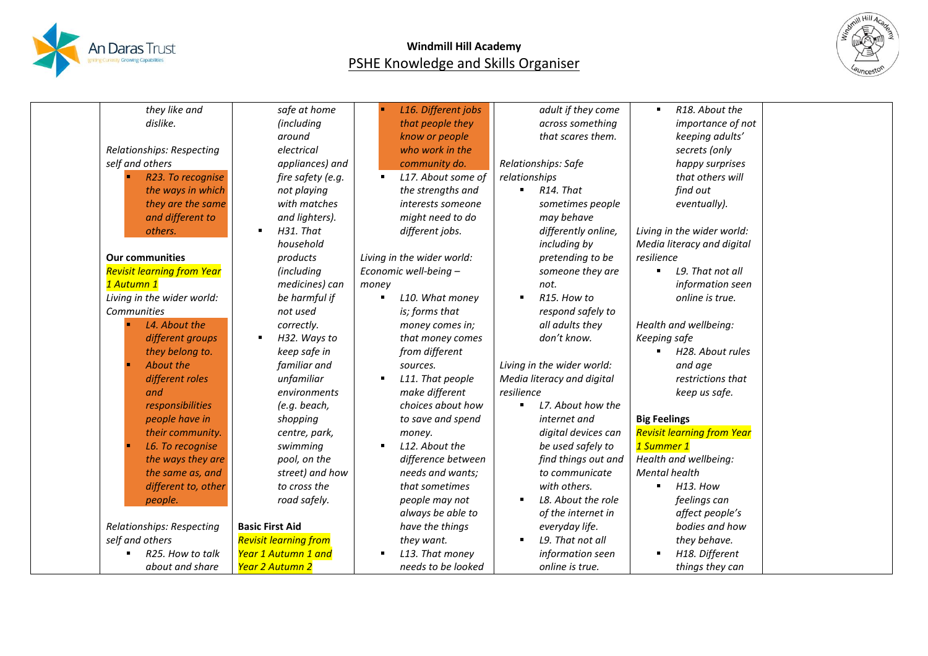



| they like and                     | safe at home                   | L16. Different jobs                  | adult if they come         | R18. About the                    |  |
|-----------------------------------|--------------------------------|--------------------------------------|----------------------------|-----------------------------------|--|
| dislike.                          | (including                     | that people they                     | across something           | importance of not                 |  |
|                                   | around                         | know or people                       | that scares them.          | keeping adults'                   |  |
| Relationships: Respecting         | electrical                     | who work in the                      |                            | secrets (only                     |  |
| self and others                   | appliances) and                | community do.                        | Relationships: Safe        | happy surprises                   |  |
| R23. To recognise                 | fire safety (e.g.              | L17. About some of<br>$\blacksquare$ | relationships              | that others will                  |  |
| the ways in which                 | not playing                    | the strengths and                    | R <sub>14</sub> . That     | find out                          |  |
| they are the same                 | with matches                   | interests someone                    | sometimes people           | eventually).                      |  |
| and different to                  | and lighters).                 | might need to do                     | may behave                 |                                   |  |
| others.                           | H31. That<br>$\blacksquare$    | different jobs.                      | differently online,        | Living in the wider world:        |  |
|                                   | household                      |                                      | including by               | Media literacy and digital        |  |
| <b>Our communities</b>            | products                       | Living in the wider world:           | pretending to be           | resilience                        |  |
| <b>Revisit learning from Year</b> | (including                     | Economic well-being -                | someone they are           | L9. That not all<br>٠.            |  |
| 1 Autumn 1                        | medicines) can                 | money                                | not.                       | information seen                  |  |
| Living in the wider world:        | be harmful if                  | L10. What money<br>٠                 | R <sub>15</sub> . How to   | online is true.                   |  |
| Communities                       | not used                       | is; forms that                       | respond safely to          |                                   |  |
| L4. About the                     | correctly.                     | money comes in;                      | all adults they            | Health and wellbeing:             |  |
| different groups                  | H32. Ways to<br>$\blacksquare$ | that money comes                     | don't know.                | Keeping safe                      |  |
| they belong to.                   | keep safe in                   | from different                       |                            | H <sub>28</sub> . About rules     |  |
| About the                         | familiar and                   | sources.                             | Living in the wider world: | and age                           |  |
| different roles                   | unfamiliar                     | L11. That people                     | Media literacy and digital | restrictions that                 |  |
| and                               | environments                   | make different                       | resilience                 | keep us safe.                     |  |
| responsibilities                  | (e.g. beach,                   | choices about how                    | L7. About how the          |                                   |  |
| people have in                    | shopping                       | to save and spend                    | internet and               | <b>Big Feelings</b>               |  |
| their community.                  | centre, park,                  | money.                               | digital devices can        | <b>Revisit learning from Year</b> |  |
| L6. To recognise                  | swimming                       | L12. About the                       | be used safely to          | 1 Summer 1                        |  |
| the ways they are                 | pool, on the                   | difference between                   | find things out and        | Health and wellbeing:             |  |
| the same as, and                  | street) and how                | needs and wants;                     | to communicate             | Mental health                     |  |
| different to, other               | to cross the                   | that sometimes                       | with others.               | H13. How<br>$\blacksquare$        |  |
| people.                           | road safely.                   | people may not                       | L8. About the role         | feelings can                      |  |
|                                   |                                | always be able to                    | of the internet in         | affect people's                   |  |
| Relationships: Respecting         | <b>Basic First Aid</b>         | have the things                      | everyday life.             | bodies and how                    |  |
| self and others                   | <b>Revisit learning from</b>   | they want.                           | L9. That not all           | they behave.                      |  |
| R25. How to talk                  | Year 1 Autumn 1 and            | L13. That money                      | information seen           | H18. Different                    |  |
| about and share                   | Year 2 Autumn 2                | needs to be looked                   | online is true.            | things they can                   |  |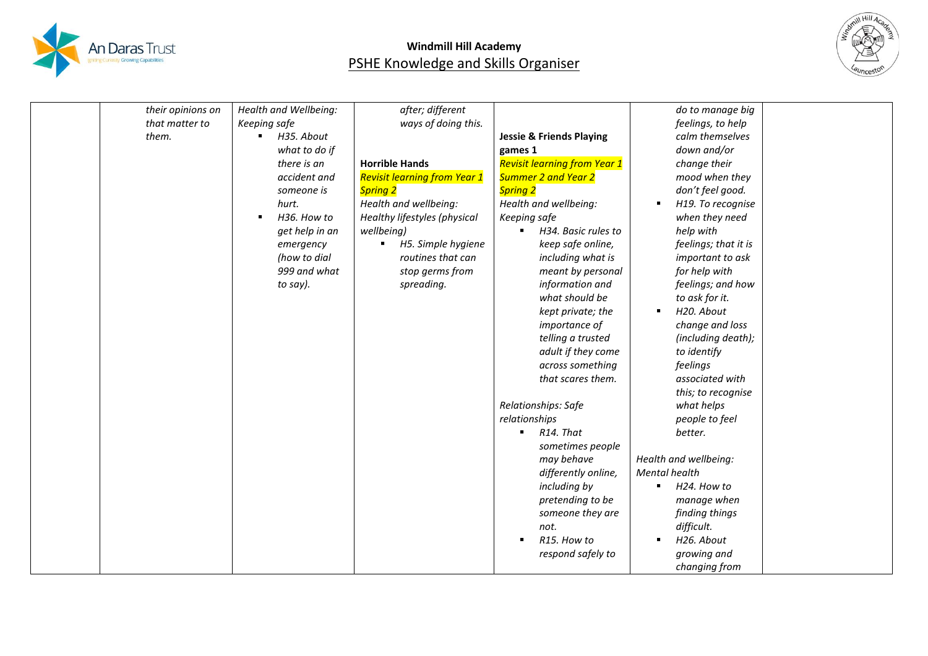



| their opinions on | Health and Wellbeing: | after; different                    |                                     | do to manage big      |
|-------------------|-----------------------|-------------------------------------|-------------------------------------|-----------------------|
| that matter to    | Keeping safe          | ways of doing this.                 |                                     | feelings, to help     |
| them.             | H35. About<br>٠       |                                     | <b>Jessie &amp; Friends Playing</b> | calm themselves       |
|                   | what to do if         |                                     | games 1                             | down and/or           |
|                   | there is an           | <b>Horrible Hands</b>               | <b>Revisit learning from Year 1</b> | change their          |
|                   | accident and          | <b>Revisit learning from Year 1</b> | <b>Summer 2 and Year 2</b>          | mood when they        |
|                   | someone is            | <b>Spring 2</b>                     | <b>Spring 2</b>                     | don't feel good.      |
|                   | hurt.                 | Health and wellbeing:               | Health and wellbeing:               | H19. To recognise     |
|                   | H36. How to           | Healthy lifestyles (physical        | Keeping safe                        | when they need        |
|                   | get help in an        | wellbeing)                          | H34. Basic rules to                 | help with             |
|                   | emergency             | H5. Simple hygiene                  | keep safe online,                   | feelings; that it is  |
|                   | (how to dial          | routines that can                   | including what is                   | important to ask      |
|                   | 999 and what          | stop germs from                     | meant by personal                   | for help with         |
|                   | to say).              | spreading.                          | information and                     | feelings; and how     |
|                   |                       |                                     | what should be                      | to ask for it.        |
|                   |                       |                                     | kept private; the                   | H20. About            |
|                   |                       |                                     | importance of                       | change and loss       |
|                   |                       |                                     | telling a trusted                   | (including death);    |
|                   |                       |                                     | adult if they come                  | to identify           |
|                   |                       |                                     | across something                    | feelings              |
|                   |                       |                                     | that scares them.                   | associated with       |
|                   |                       |                                     |                                     | this; to recognise    |
|                   |                       |                                     | Relationships: Safe                 | what helps            |
|                   |                       |                                     | relationships                       | people to feel        |
|                   |                       |                                     | R <sub>14</sub> . That              | better.               |
|                   |                       |                                     | sometimes people                    |                       |
|                   |                       |                                     | may behave                          | Health and wellbeing: |
|                   |                       |                                     | differently online,                 | Mental health         |
|                   |                       |                                     | including by                        | H24. How to           |
|                   |                       |                                     | pretending to be                    | manage when           |
|                   |                       |                                     | someone they are                    | finding things        |
|                   |                       |                                     | not.                                | difficult.            |
|                   |                       |                                     | R15. How to                         | H26. About            |
|                   |                       |                                     | respond safely to                   | growing and           |
|                   |                       |                                     |                                     | changing from         |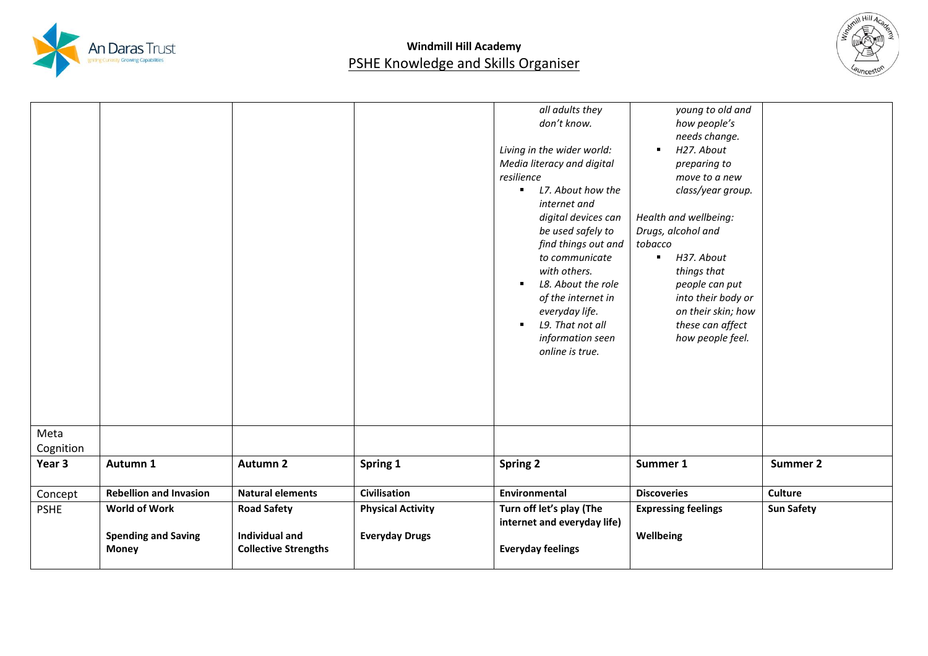



| Meta<br>Cognition |                               |                             |                          | all adults they<br>don't know.<br>Living in the wider world:<br>Media literacy and digital<br>resilience<br>L7. About how the<br>٠<br>internet and<br>digital devices can<br>be used safely to<br>find things out and<br>to communicate<br>with others.<br>L8. About the role<br>٠<br>of the internet in<br>everyday life.<br>L9. That not all<br>$\blacksquare$<br>information seen<br>online is true. | young to old and<br>how people's<br>needs change.<br>H27. About<br>п.<br>preparing to<br>move to a new<br>class/year group.<br>Health and wellbeing:<br>Drugs, alcohol and<br>tobacco<br>H37. About<br>$\blacksquare$<br>things that<br>people can put<br>into their body or<br>on their skin; how<br>these can affect<br>how people feel. |                   |
|-------------------|-------------------------------|-----------------------------|--------------------------|---------------------------------------------------------------------------------------------------------------------------------------------------------------------------------------------------------------------------------------------------------------------------------------------------------------------------------------------------------------------------------------------------------|--------------------------------------------------------------------------------------------------------------------------------------------------------------------------------------------------------------------------------------------------------------------------------------------------------------------------------------------|-------------------|
| Year 3            | Autumn 1                      | <b>Autumn 2</b>             | Spring 1                 | <b>Spring 2</b>                                                                                                                                                                                                                                                                                                                                                                                         | Summer 1                                                                                                                                                                                                                                                                                                                                   | Summer 2          |
| Concept           | <b>Rebellion and Invasion</b> | <b>Natural elements</b>     | <b>Civilisation</b>      | Environmental                                                                                                                                                                                                                                                                                                                                                                                           | <b>Discoveries</b>                                                                                                                                                                                                                                                                                                                         | <b>Culture</b>    |
| <b>PSHE</b>       | <b>World of Work</b>          | <b>Road Safety</b>          | <b>Physical Activity</b> | Turn off let's play (The<br>internet and everyday life)                                                                                                                                                                                                                                                                                                                                                 | <b>Expressing feelings</b>                                                                                                                                                                                                                                                                                                                 | <b>Sun Safety</b> |
|                   | <b>Spending and Saving</b>    | <b>Individual and</b>       | <b>Everyday Drugs</b>    |                                                                                                                                                                                                                                                                                                                                                                                                         | Wellbeing                                                                                                                                                                                                                                                                                                                                  |                   |
|                   | <b>Money</b>                  | <b>Collective Strengths</b> |                          | <b>Everyday feelings</b>                                                                                                                                                                                                                                                                                                                                                                                |                                                                                                                                                                                                                                                                                                                                            |                   |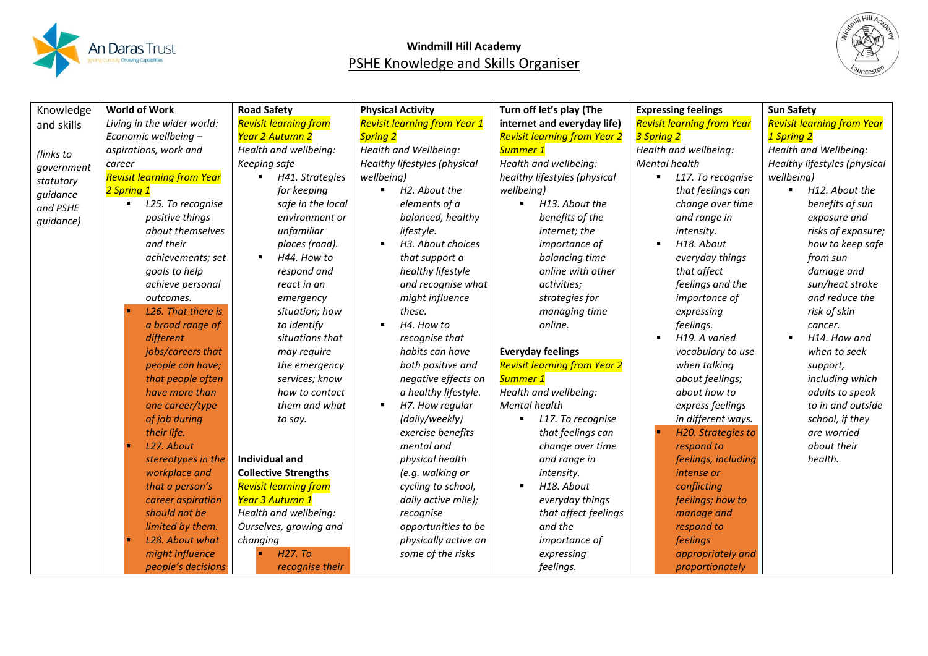



|            | <b>World of Work</b>              |                               |                                              |                                     |                                   |                                   |
|------------|-----------------------------------|-------------------------------|----------------------------------------------|-------------------------------------|-----------------------------------|-----------------------------------|
| Knowledge  |                                   | <b>Road Safety</b>            | <b>Physical Activity</b>                     | Turn off let's play (The            | <b>Expressing feelings</b>        | <b>Sun Safety</b>                 |
| and skills | Living in the wider world:        | <b>Revisit learning from</b>  | <b>Revisit learning from Year 1</b>          | internet and everyday life)         | <b>Revisit learning from Year</b> | <b>Revisit learning from Year</b> |
|            | Economic wellbeing -              | Year 2 Autumn 2               | <b>Spring 2</b>                              | <b>Revisit learning from Year 2</b> | 3 Spring 2                        | 1 Spring 2                        |
| (links to  | aspirations, work and             | Health and wellbeing:         | Health and Wellbeing:                        | Summer 1                            | Health and wellbeing:             | Health and Wellbeing:             |
| government | career                            | Keeping safe                  | Healthy lifestyles (physical                 | Health and wellbeing:               | Mental health                     | Healthy lifestyles (physical      |
| statutory  | <b>Revisit learning from Year</b> | H41. Strategies               | wellbeing)                                   | healthy lifestyles (physical        | L17. To recognise<br>٠.           | wellbeing)                        |
| guidance   | 2 Spring 1                        | for keeping                   | H <sub>2</sub> . About the<br>$\blacksquare$ | wellbeing)                          | that feelings can                 | H12. About the                    |
| and PSHE   | L25. To recognise<br>٠            | safe in the local             | elements of a                                | H13. About the<br>$\blacksquare$    | change over time                  | benefits of sun                   |
| guidance)  | positive things                   | environment or                | balanced, healthy                            | benefits of the                     | and range in                      | exposure and                      |
|            | about themselves                  | unfamiliar                    | lifestyle.                                   | internet; the                       | intensity.                        | risks of exposure;                |
|            | and their                         | places (road).                | H3. About choices                            | importance of                       | H18. About                        | how to keep safe                  |
|            | achievements; set                 | H44. How to<br>$\blacksquare$ | that support a                               | balancing time                      | everyday things                   | from sun                          |
|            | goals to help                     | respond and                   | healthy lifestyle                            | online with other                   | that affect                       | damage and                        |
|            | achieve personal                  | react in an                   | and recognise what                           | activities;                         | feelings and the                  | sun/heat stroke                   |
|            | outcomes.                         | emergency                     | might influence                              | strategies for                      | importance of                     | and reduce the                    |
|            | L26. That there is                | situation; how                | these.                                       | managing time                       | expressing                        | risk of skin                      |
|            | a broad range of                  | to identify                   | H4. How to                                   | online.                             | feelings.                         | cancer.                           |
|            | different                         | situations that               | recognise that                               |                                     | H19. A varied                     | H14. How and                      |
|            | jobs/careers that                 | may require                   | habits can have                              | <b>Everyday feelings</b>            | vocabulary to use                 | when to seek                      |
|            | people can have;                  | the emergency                 | both positive and                            | <b>Revisit learning from Year 2</b> | when talking                      | support,                          |
|            | that people often                 | services; know                | negative effects on                          | Summer 1                            | about feelings;                   | including which                   |
|            | have more than                    | how to contact                | a healthy lifestyle.                         | Health and wellbeing:               | about how to                      | adults to speak                   |
|            | one career/type                   | them and what                 | H7. How regular<br>٠                         | <b>Mental health</b>                | express feelings                  | to in and outside                 |
|            | of job during                     | to say.                       | (daily/weekly)                               | L17. To recognise<br>٠              | in different ways.                | school, if they                   |
|            | their life.                       |                               | exercise benefits                            | that feelings can                   | H20. Strategies to                | are worried                       |
|            | L27. About                        |                               | mental and                                   | change over time                    | respond to                        | about their                       |
|            | stereotypes in the                | Individual and                | physical health                              | and range in                        | feelings, including               | health.                           |
|            | workplace and                     | <b>Collective Strengths</b>   | (e.g. walking or                             | intensity.                          | intense or                        |                                   |
|            | that a person's                   | <b>Revisit learning from</b>  | cycling to school,                           | H18. About                          | conflicting                       |                                   |
|            | career aspiration                 | Year 3 Autumn 1               | daily active mile);                          | everyday things                     | feelings; how to                  |                                   |
|            | should not be                     | Health and wellbeing:         | recognise                                    | that affect feelings                | manage and                        |                                   |
|            | limited by them.                  | Ourselves, growing and        | opportunities to be                          | and the                             | respond to                        |                                   |
|            | L28. About what                   | changing                      | physically active an                         | importance of                       | feelings                          |                                   |
|            | might influence                   | H <sub>27</sub> . To          | some of the risks                            | expressing                          | appropriately and                 |                                   |
|            | people's decisions                | recognise their               |                                              | feelings.                           | proportionately                   |                                   |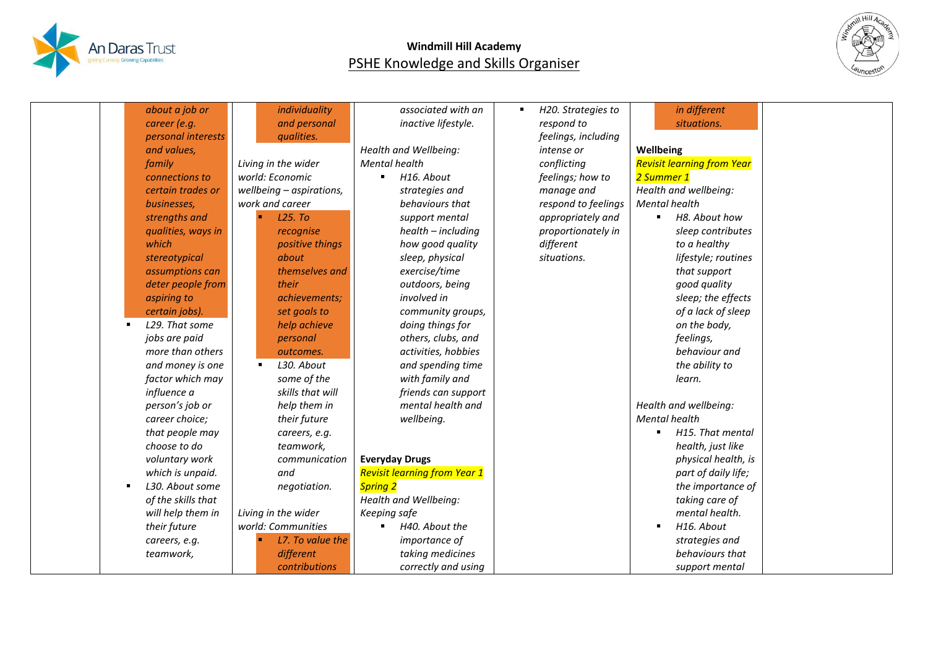



| about a job or     | individuality            | associated with an                        | H20. Strategies to  | in different                      |  |
|--------------------|--------------------------|-------------------------------------------|---------------------|-----------------------------------|--|
| career (e.g.       | and personal             | inactive lifestyle.                       | respond to          | situations.                       |  |
| personal interests | qualities.               |                                           | feelings, including |                                   |  |
| and values,        |                          | Health and Wellbeing:                     | intense or          | Wellbeing                         |  |
| family             | Living in the wider      | <b>Mental health</b>                      | conflicting         | <b>Revisit learning from Year</b> |  |
| connections to     | world: Economic          | H <sub>16</sub> . About<br>$\blacksquare$ | feelings; how to    | 2 Summer 1                        |  |
| certain trades or  | wellbeing - aspirations, | strategies and                            | manage and          | Health and wellbeing:             |  |
| businesses,        | work and career          | behaviours that                           | respond to feelings | <b>Mental health</b>              |  |
| strengths and      | L25. To                  | support mental                            | appropriately and   | H8. About how                     |  |
| qualities, ways in | recognise                | health - including                        | proportionately in  | sleep contributes                 |  |
| which              | positive things          | how good quality                          | different           | to a healthy                      |  |
| stereotypical      | about                    | sleep, physical                           | situations.         | lifestyle; routines               |  |
| assumptions can    | themselves and           | exercise/time                             |                     | that support                      |  |
| deter people from  | their                    | outdoors, being                           |                     | good quality                      |  |
| aspiring to        | achievements;            | involved in                               |                     | sleep; the effects                |  |
| certain jobs).     | set goals to             | community groups,                         |                     | of a lack of sleep                |  |
| L29. That some     | help achieve             | doing things for                          |                     | on the body,                      |  |
| jobs are paid      | personal                 | others, clubs, and                        |                     | feelings,                         |  |
| more than others   | outcomes.                | activities, hobbies                       |                     | behaviour and                     |  |
| and money is one   | L30. About<br>п          | and spending time                         |                     | the ability to                    |  |
| factor which may   | some of the              | with family and                           |                     | learn.                            |  |
| influence a        | skills that will         | friends can support                       |                     |                                   |  |
| person's job or    | help them in             | mental health and                         |                     | Health and wellbeing:             |  |
| career choice;     | their future             | wellbeing.                                |                     | <b>Mental health</b>              |  |
| that people may    | careers, e.g.            |                                           |                     | H15. That mental                  |  |
| choose to do       | teamwork,                |                                           |                     | health, just like                 |  |
| voluntary work     | communication            | <b>Everyday Drugs</b>                     |                     | physical health, is               |  |
| which is unpaid.   | and                      | <b>Revisit learning from Year 1</b>       |                     | part of daily life;               |  |
| L30. About some    | negotiation.             | <b>Spring 2</b>                           |                     | the importance of                 |  |
| of the skills that |                          | Health and Wellbeing:                     |                     | taking care of                    |  |
| will help them in  | Living in the wider      | Keeping safe                              |                     | mental health.                    |  |
| their future       | world: Communities       | H40. About the                            |                     | H16. About                        |  |
| careers, e.g.      | L7. To value the         | importance of                             |                     | strategies and                    |  |
| teamwork,          | different                | taking medicines                          |                     | behaviours that                   |  |
|                    | contributions            | correctly and using                       |                     | support mental                    |  |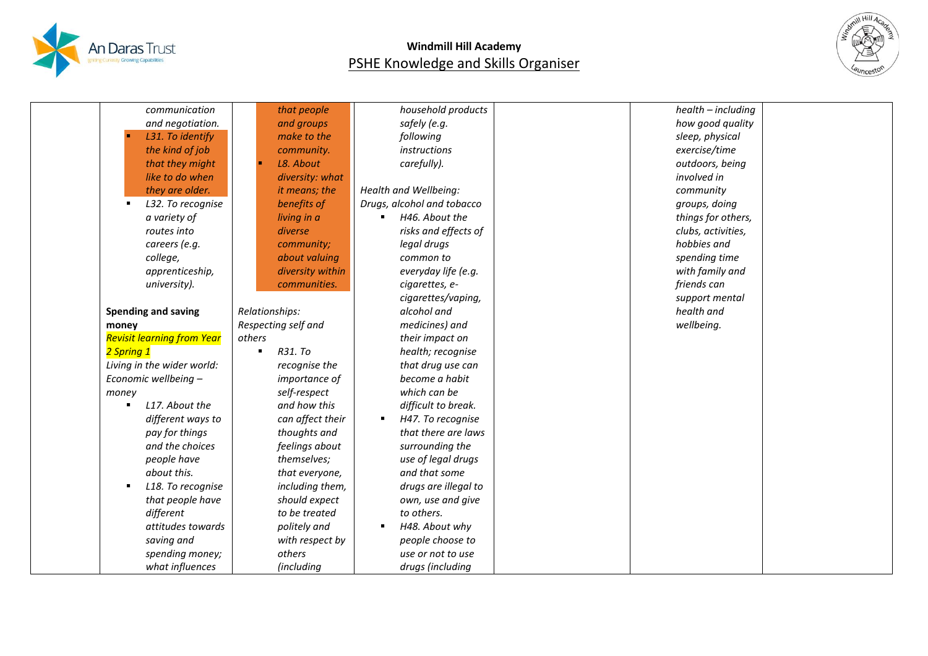



| communication                       | that people         | household products         | health - including |
|-------------------------------------|---------------------|----------------------------|--------------------|
| and negotiation.                    | and groups          | safely (e.g.               | how good quality   |
| L31. To identify                    | make to the         | following                  | sleep, physical    |
| the kind of job                     | community.          | instructions               | exercise/time      |
| that they might                     | L8. About           | carefully).                | outdoors, being    |
| like to do when                     | diversity: what     |                            | involved in        |
| they are older.                     | it means; the       | Health and Wellbeing:      | community          |
| L32. To recognise                   | benefits of         | Drugs, alcohol and tobacco | groups, doing      |
| a variety of                        | living in a         | H46. About the             | things for others, |
| routes into                         | diverse             | risks and effects of       | clubs, activities, |
| careers (e.g.                       | community;          | legal drugs                | hobbies and        |
| college,                            | about valuing       | common to                  | spending time      |
| apprenticeship,                     | diversity within    | everyday life (e.g.        | with family and    |
| university).                        | communities.        | cigarettes, e-             | friends can        |
|                                     |                     | cigarettes/vaping,         | support mental     |
| <b>Spending and saving</b>          | Relationships:      | alcohol and                | health and         |
| money                               | Respecting self and | medicines) and             | wellbeing.         |
| <b>Revisit learning from Year</b>   | others              | their impact on            |                    |
| 2 Spring 1                          | R31. To             | health; recognise          |                    |
| Living in the wider world:          | recognise the       | that drug use can          |                    |
| Economic wellbeing -                | importance of       | become a habit             |                    |
| money                               | self-respect        | which can be               |                    |
| L17. About the<br>$\blacksquare$    | and how this        | difficult to break.        |                    |
| different ways to                   | can affect their    | H47. To recognise<br>٠     |                    |
| pay for things                      | thoughts and        | that there are laws        |                    |
| and the choices                     | feelings about      | surrounding the            |                    |
| people have                         | themselves;         | use of legal drugs         |                    |
| about this.                         | that everyone,      | and that some              |                    |
| L18. To recognise<br>$\blacksquare$ | including them,     | drugs are illegal to       |                    |
| that people have                    | should expect       | own, use and give          |                    |
| different                           | to be treated       | to others.                 |                    |
| attitudes towards                   | politely and        | H48. About why<br>٠        |                    |
| saving and                          | with respect by     | people choose to           |                    |
| spending money;                     | others              | use or not to use          |                    |
| what influences                     | (including          | drugs (including           |                    |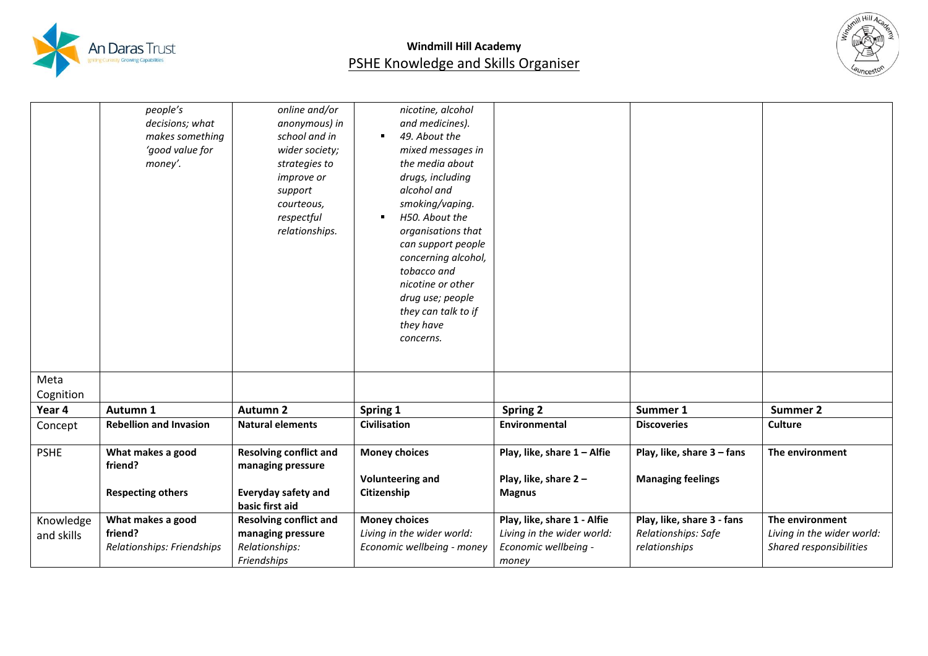



|                         | people's<br>decisions; what<br>makes something<br>'good value for<br>money'. | online and/or<br>anonymous) in<br>school and in<br>wider society;<br>strategies to<br><i>improve or</i><br>support<br>courteous,<br>respectful<br>relationships. | nicotine, alcohol<br>and medicines).<br>49. About the<br>$\blacksquare$<br>mixed messages in<br>the media about<br>drugs, including<br>alcohol and<br>smoking/vaping.<br>H50. About the<br>٠<br>organisations that<br>can support people<br>concerning alcohol,<br>tobacco and<br>nicotine or other<br>drug use; people<br>they can talk to if<br>they have<br>concerns. |                                                                                            |                                                                    |                                                                          |
|-------------------------|------------------------------------------------------------------------------|------------------------------------------------------------------------------------------------------------------------------------------------------------------|--------------------------------------------------------------------------------------------------------------------------------------------------------------------------------------------------------------------------------------------------------------------------------------------------------------------------------------------------------------------------|--------------------------------------------------------------------------------------------|--------------------------------------------------------------------|--------------------------------------------------------------------------|
| Meta                    |                                                                              |                                                                                                                                                                  |                                                                                                                                                                                                                                                                                                                                                                          |                                                                                            |                                                                    |                                                                          |
| Cognition               |                                                                              |                                                                                                                                                                  |                                                                                                                                                                                                                                                                                                                                                                          |                                                                                            |                                                                    |                                                                          |
| Year 4                  | Autumn 1                                                                     | <b>Autumn 2</b>                                                                                                                                                  | Spring 1                                                                                                                                                                                                                                                                                                                                                                 | <b>Spring 2</b>                                                                            | Summer 1                                                           | Summer 2                                                                 |
| Concept                 | <b>Rebellion and Invasion</b>                                                | <b>Natural elements</b>                                                                                                                                          | <b>Civilisation</b>                                                                                                                                                                                                                                                                                                                                                      | Environmental                                                                              | <b>Discoveries</b>                                                 | <b>Culture</b>                                                           |
| <b>PSHE</b>             | What makes a good<br>friend?<br><b>Respecting others</b>                     | <b>Resolving conflict and</b><br>managing pressure<br><b>Everyday safety and</b><br>basic first aid                                                              | <b>Money choices</b><br><b>Volunteering and</b><br>Citizenship                                                                                                                                                                                                                                                                                                           | Play, like, share 1 - Alfie<br>Play, like, share 2-<br><b>Magnus</b>                       | Play, like, share 3 - fans<br><b>Managing feelings</b>             | The environment                                                          |
| Knowledge<br>and skills | What makes a good<br>friend?<br>Relationships: Friendships                   | <b>Resolving conflict and</b><br>managing pressure<br>Relationships:<br>Friendships                                                                              | <b>Money choices</b><br>Living in the wider world:<br>Economic wellbeing - money                                                                                                                                                                                                                                                                                         | Play, like, share 1 - Alfie<br>Living in the wider world:<br>Economic wellbeing -<br>money | Play, like, share 3 - fans<br>Relationships: Safe<br>relationships | The environment<br>Living in the wider world:<br>Shared responsibilities |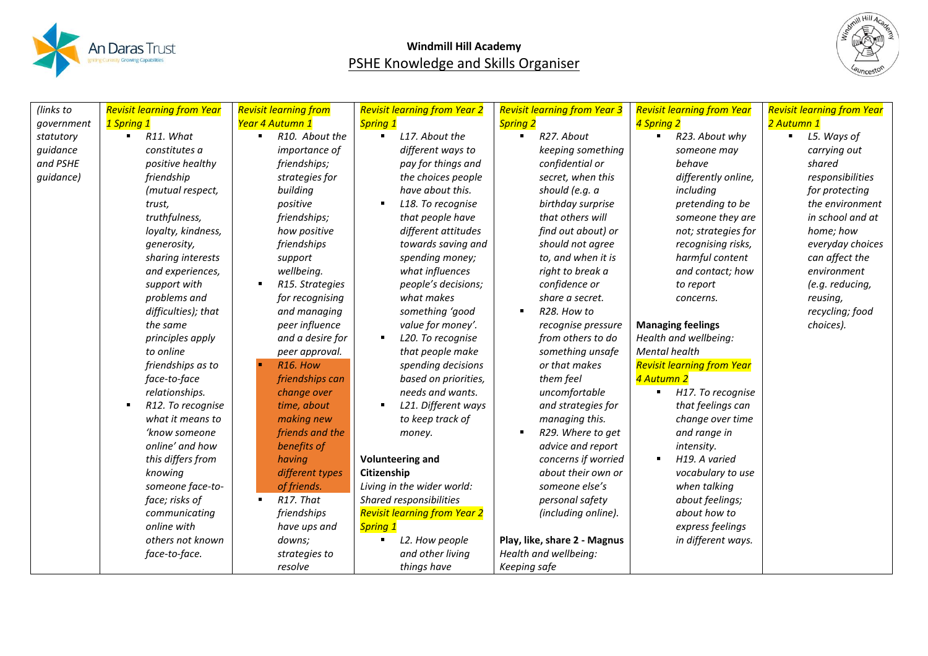



| (links to  | <b>Revisit learning from Year</b>   | <b>Revisit learning from</b> | <b>Revisit learning from Year 2</b> | <b>Revisit learning from Year 3</b> | <b>Revisit learning from Year</b> | <b>Revisit learning from Year</b> |
|------------|-------------------------------------|------------------------------|-------------------------------------|-------------------------------------|-----------------------------------|-----------------------------------|
| government | 1 Spring 1                          | Year 4 Autumn 1              | <b>Spring 1</b>                     | <b>Spring 2</b>                     | 4 Spring 2                        | 2 Autumn 1                        |
| statutory  | R11. What<br>$\blacksquare$         | R10. About the<br>٠          | L17. About the<br>$\blacksquare$    | R27. About<br>$\blacksquare$        | R23. About why                    | L5. Ways of                       |
| guidance   | constitutes a                       | <i>importance of</i>         | different ways to                   | keeping something                   | someone may                       | carrying out                      |
| and PSHE   | positive healthy                    | friendships;                 | pay for things and                  | confidential or                     | behave                            | shared                            |
| quidance)  | friendship                          | strategies for               | the choices people                  | secret, when this                   | differently online,               | responsibilities                  |
|            | (mutual respect,                    | building                     | have about this.                    | should (e.g. a                      | including                         | for protecting                    |
|            | trust,                              | positive                     | L18. To recognise<br>٠              | birthday surprise                   | pretending to be                  | the environment                   |
|            | truthfulness,                       | friendships;                 | that people have                    | that others will                    | someone they are                  | in school and at                  |
|            | loyalty, kindness,                  | how positive                 | different attitudes                 | find out about) or                  | not; strategies for               | home; how                         |
|            | generosity,                         | friendships                  | towards saving and                  | should not agree                    | recognising risks,                | everyday choices                  |
|            | sharing interests                   | support                      | spending money;                     | to, and when it is                  | harmful content                   | can affect the                    |
|            | and experiences,                    | wellbeing.                   | what influences                     | right to break a                    | and contact; how                  | environment                       |
|            | support with                        | R15. Strategies              | people's decisions;                 | confidence or                       | to report                         | (e.g. reducing,                   |
|            | problems and                        | for recognising              | what makes                          | share a secret.                     | concerns.                         | reusing,                          |
|            | difficulties); that                 | and managing                 | something 'good                     | R28. How to<br>$\blacksquare$       |                                   | recycling; food                   |
|            | the same                            | peer influence               | value for money'.                   | recognise pressure                  | <b>Managing feelings</b>          | choices).                         |
|            | principles apply                    | and a desire for             | L20. To recognise<br>$\blacksquare$ | from others to do                   | Health and wellbeing:             |                                   |
|            | to online                           | peer approval.               | that people make                    | something unsafe                    | Mental health                     |                                   |
|            | friendships as to                   | R <sub>16</sub> . How        | spending decisions                  | or that makes                       | <b>Revisit learning from Year</b> |                                   |
|            | face-to-face                        | friendships can              | based on priorities,                | them feel                           | 4 Autumn 2                        |                                   |
|            | relationships.                      | change over                  | needs and wants.                    | uncomfortable                       | H17. To recognise<br>٠            |                                   |
|            | R12. To recognise<br>$\blacksquare$ | time, about                  | L21. Different ways<br>п            | and strategies for                  | that feelings can                 |                                   |
|            | what it means to                    | making new                   | to keep track of                    | managing this.                      | change over time                  |                                   |
|            | 'know someone                       | friends and the              | money.                              | R29. Where to get<br>п              | and range in                      |                                   |
|            | online' and how                     | benefits of                  |                                     | advice and report                   | intensity.                        |                                   |
|            | this differs from                   | having                       | <b>Volunteering and</b>             | concerns if worried                 | H19. A varied<br>٠                |                                   |
|            | knowing                             | different types              | Citizenship                         | about their own or                  | vocabulary to use                 |                                   |
|            | someone face-to-                    | of friends.                  | Living in the wider world:          | someone else's                      | when talking                      |                                   |
|            | face; risks of                      | R17. That                    | Shared responsibilities             | personal safety                     | about feelings;                   |                                   |
|            | communicating                       | friendships                  | <b>Revisit learning from Year 2</b> | (including online).                 | about how to                      |                                   |
|            | online with                         | have ups and                 | <b>Spring 1</b>                     |                                     | express feelings                  |                                   |
|            | others not known                    | downs;                       | L2. How people<br>٠                 | Play, like, share 2 - Magnus        | in different ways.                |                                   |
|            | face-to-face.                       | strategies to                | and other living                    | Health and wellbeing:               |                                   |                                   |
|            |                                     | resolve                      | things have                         | Keeping safe                        |                                   |                                   |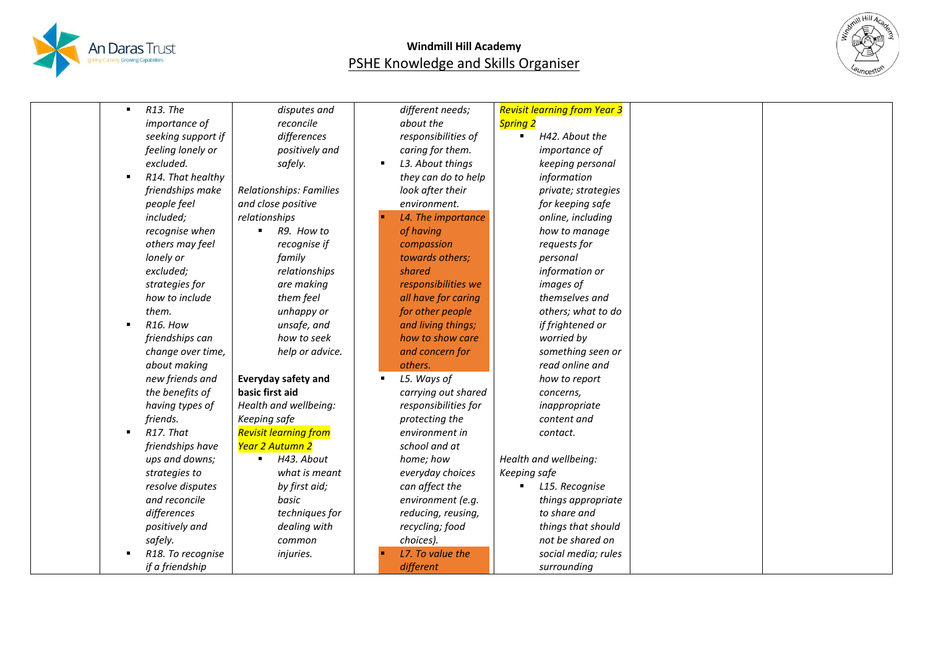



| $\blacksquare$ | R13. The              | disputes and                 |                | different needs;     | <b>Revisit learning from Year 3</b> |  |
|----------------|-----------------------|------------------------------|----------------|----------------------|-------------------------------------|--|
|                | importance of         | reconcile                    |                | about the            | <b>Spring 2</b>                     |  |
|                | seeking support if    | differences                  |                | responsibilities of  | H42. About the                      |  |
|                | feeling lonely or     | positively and               |                | caring for them.     | importance of                       |  |
|                | excluded.             | safely.                      | $\blacksquare$ | L3. About things     | keeping personal                    |  |
| $\blacksquare$ | R14. That healthy     |                              |                | they can do to help  | information                         |  |
|                | friendships make      | Relationships: Families      |                | look after their     | private; strategies                 |  |
|                | people feel           | and close positive           |                | environment.         | for keeping safe                    |  |
|                | included;             | relationships                |                | L4. The importance   | online, including                   |  |
|                | recognise when        | R9. How to                   |                | of having            | how to manage                       |  |
|                | others may feel       | recognise if                 |                | compassion           | requests for                        |  |
|                | lonely or             | family                       |                | towards others;      | personal                            |  |
|                | excluded;             | relationships                |                | shared               | information or                      |  |
|                | strategies for        | are making                   |                | responsibilities we  | images of                           |  |
|                | how to include        | them feel                    |                | all have for caring  | themselves and                      |  |
|                | them.                 | unhappy or                   |                | for other people     | others; what to do                  |  |
| $\blacksquare$ | R <sub>16</sub> . How | unsafe, and                  |                | and living things;   | if frightened or                    |  |
|                | friendships can       | how to seek                  |                | how to show care     | worried by                          |  |
|                | change over time,     | help or advice.              |                | and concern for      | something seen or                   |  |
|                | about making          |                              |                | others.              | read online and                     |  |
|                | new friends and       | <b>Everyday safety and</b>   |                | L5. Ways of          | how to report                       |  |
|                | the benefits of       | basic first aid              |                | carrying out shared  | concerns,                           |  |
|                | having types of       | Health and wellbeing:        |                | responsibilities for | inappropriate                       |  |
|                | friends.              | Keeping safe                 |                | protecting the       | content and                         |  |
|                | R17. That             | <b>Revisit learning from</b> |                | environment in       | contact.                            |  |
|                | friendships have      | Year 2 Autumn 2              |                | school and at        |                                     |  |
|                | ups and downs;        | H43. About                   |                | home; how            | Health and wellbeing:               |  |
|                | strategies to         | what is meant                |                | everyday choices     | Keeping safe                        |  |
|                | resolve disputes      | by first aid;                |                | can affect the       | L15. Recognise                      |  |
|                | and reconcile         | basic                        |                | environment (e.g.    | things appropriate                  |  |
|                | differences           | techniques for               |                | reducing, reusing,   | to share and                        |  |
|                | positively and        | dealing with                 |                | recycling; food      | things that should                  |  |
|                | safely.               | common                       |                | choices).            | not be shared on                    |  |
|                | R18. To recognise     | injuries.                    |                | L7. To value the     | social media; rules                 |  |
|                | if a friendship       |                              |                | different            | surrounding                         |  |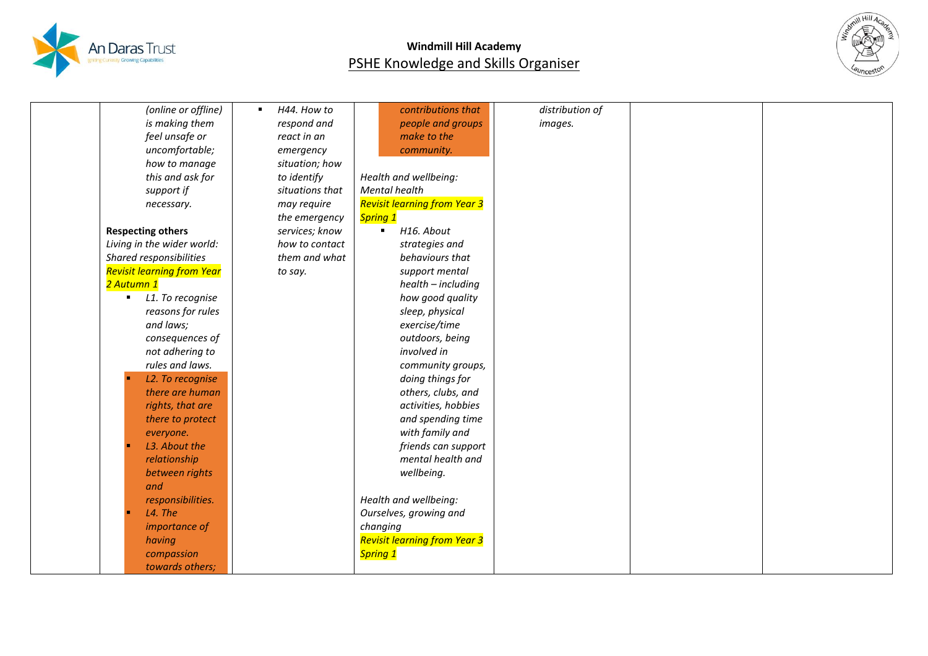



|            | (online or offline)               | H44. How to<br>٠ | contributions that                  | distribution of |  |
|------------|-----------------------------------|------------------|-------------------------------------|-----------------|--|
|            | is making them                    | respond and      | people and groups                   | images.         |  |
|            | feel unsafe or                    | react in an      | make to the                         |                 |  |
|            | uncomfortable;                    | emergency        | community.                          |                 |  |
|            | how to manage                     | situation; how   |                                     |                 |  |
|            | this and ask for                  | to identify      | Health and wellbeing:               |                 |  |
|            | support if                        | situations that  | <b>Mental health</b>                |                 |  |
|            | necessary.                        | may require      | <b>Revisit learning from Year 3</b> |                 |  |
|            |                                   | the emergency    | Spring 1                            |                 |  |
|            | <b>Respecting others</b>          | services; know   | H16. About<br>$\blacksquare$        |                 |  |
|            | Living in the wider world:        | how to contact   | strategies and                      |                 |  |
|            | Shared responsibilities           | them and what    | behaviours that                     |                 |  |
|            | <b>Revisit learning from Year</b> | to say.          | support mental                      |                 |  |
| 2 Autumn 1 |                                   |                  | health - including                  |                 |  |
| ٠          | L1. To recognise                  |                  | how good quality                    |                 |  |
|            | reasons for rules                 |                  | sleep, physical                     |                 |  |
|            | and laws;                         |                  | exercise/time                       |                 |  |
|            | consequences of                   |                  | outdoors, being                     |                 |  |
|            | not adhering to                   |                  | involved in                         |                 |  |
|            | rules and laws.                   |                  | community groups,                   |                 |  |
|            | L2. To recognise                  |                  | doing things for                    |                 |  |
|            | there are human                   |                  | others, clubs, and                  |                 |  |
|            | rights, that are                  |                  | activities, hobbies                 |                 |  |
|            | there to protect                  |                  | and spending time                   |                 |  |
|            | everyone.                         |                  | with family and                     |                 |  |
|            | L3. About the                     |                  | friends can support                 |                 |  |
|            | relationship                      |                  | mental health and                   |                 |  |
|            | between rights                    |                  | wellbeing.                          |                 |  |
|            | and                               |                  |                                     |                 |  |
|            | responsibilities.                 |                  | Health and wellbeing:               |                 |  |
|            | L4. The                           |                  | Ourselves, growing and              |                 |  |
|            | importance of                     |                  | changing                            |                 |  |
|            | having                            |                  | <b>Revisit learning from Year 3</b> |                 |  |
|            | compassion                        |                  | Spring 1                            |                 |  |
|            | towards others;                   |                  |                                     |                 |  |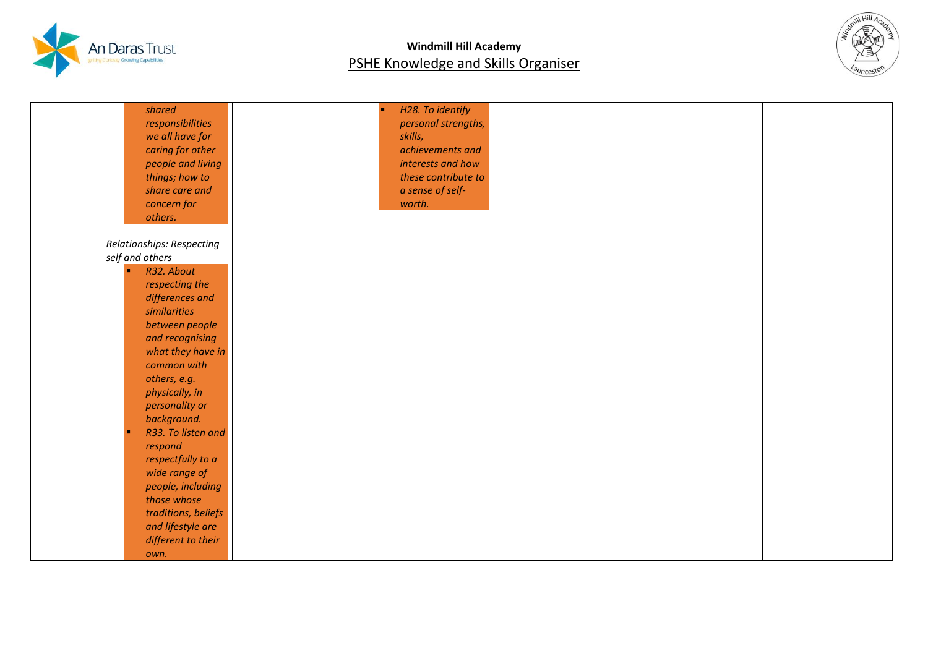



| shared                           | H28. To identify    |  |  |
|----------------------------------|---------------------|--|--|
|                                  |                     |  |  |
| responsibilities                 | personal strengths, |  |  |
| we all have for                  | skills,             |  |  |
| caring for other                 | achievements and    |  |  |
| people and living                | interests and how   |  |  |
| things; how to                   | these contribute to |  |  |
| share care and                   | a sense of self-    |  |  |
| concern for                      | worth.              |  |  |
| others.                          |                     |  |  |
| Relationships: Respecting        |                     |  |  |
| self and others                  |                     |  |  |
| R32. About<br>п                  |                     |  |  |
| respecting the                   |                     |  |  |
| differences and                  |                     |  |  |
| similarities                     |                     |  |  |
| between people                   |                     |  |  |
|                                  |                     |  |  |
| and recognising                  |                     |  |  |
| what they have in<br>common with |                     |  |  |
|                                  |                     |  |  |
| others, e.g.                     |                     |  |  |
| physically, in                   |                     |  |  |
| personality or                   |                     |  |  |
| background.                      |                     |  |  |
| R33. To listen and               |                     |  |  |
| respond                          |                     |  |  |
| respectfully to a                |                     |  |  |
| wide range of                    |                     |  |  |
| people, including                |                     |  |  |
| those whose                      |                     |  |  |
| traditions, beliefs              |                     |  |  |
| and lifestyle are                |                     |  |  |
| different to their               |                     |  |  |
| own.                             |                     |  |  |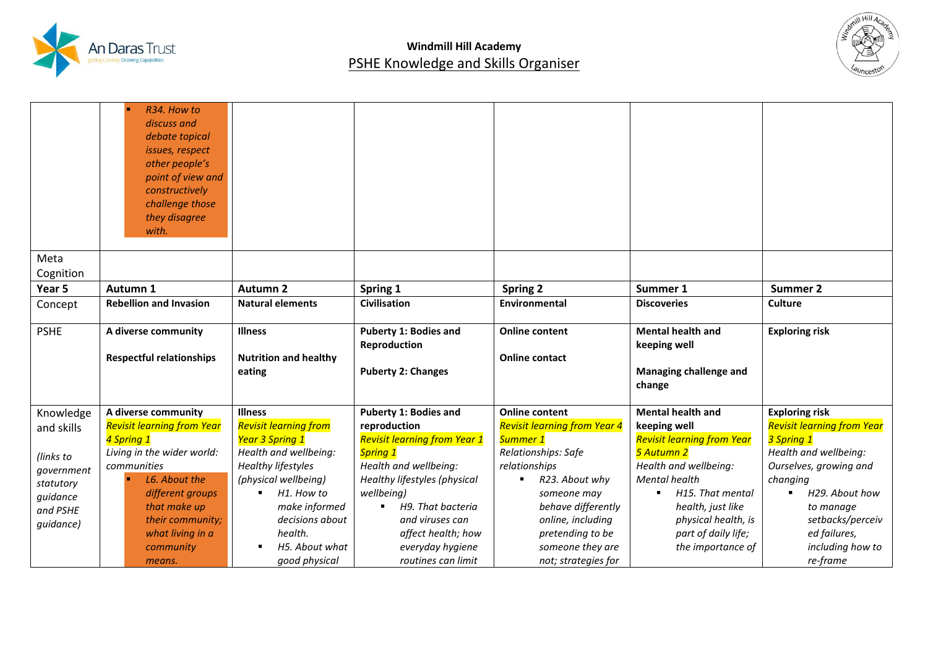



|             | R34. How to                         |                                        |                                        |                                     |                                    |                                   |
|-------------|-------------------------------------|----------------------------------------|----------------------------------------|-------------------------------------|------------------------------------|-----------------------------------|
|             | discuss and                         |                                        |                                        |                                     |                                    |                                   |
|             | debate topical                      |                                        |                                        |                                     |                                    |                                   |
|             | issues, respect                     |                                        |                                        |                                     |                                    |                                   |
|             | other people's                      |                                        |                                        |                                     |                                    |                                   |
|             | point of view and<br>constructively |                                        |                                        |                                     |                                    |                                   |
|             | challenge those                     |                                        |                                        |                                     |                                    |                                   |
|             | they disagree                       |                                        |                                        |                                     |                                    |                                   |
|             | with.                               |                                        |                                        |                                     |                                    |                                   |
|             |                                     |                                        |                                        |                                     |                                    |                                   |
| Meta        |                                     |                                        |                                        |                                     |                                    |                                   |
| Cognition   |                                     |                                        |                                        |                                     |                                    |                                   |
| Year 5      | Autumn 1                            | <b>Autumn 2</b>                        | Spring 1                               | <b>Spring 2</b>                     | Summer 1                           | <b>Summer 2</b>                   |
| Concept     | <b>Rebellion and Invasion</b>       | <b>Natural elements</b>                | <b>Civilisation</b>                    | <b>Environmental</b>                | <b>Discoveries</b>                 | <b>Culture</b>                    |
|             |                                     |                                        |                                        |                                     |                                    |                                   |
| <b>PSHE</b> | A diverse community                 | <b>Illness</b>                         | <b>Puberty 1: Bodies and</b>           | <b>Online content</b>               | <b>Mental health and</b>           | <b>Exploring risk</b>             |
|             |                                     |                                        | Reproduction                           |                                     | keeping well                       |                                   |
|             | <b>Respectful relationships</b>     | <b>Nutrition and healthy</b><br>eating | <b>Puberty 2: Changes</b>              | <b>Online contact</b>               | Managing challenge and             |                                   |
|             |                                     |                                        |                                        |                                     | change                             |                                   |
|             |                                     |                                        |                                        |                                     |                                    |                                   |
| Knowledge   | A diverse community                 | <b>Illness</b>                         | <b>Puberty 1: Bodies and</b>           | <b>Online content</b>               | <b>Mental health and</b>           | <b>Exploring risk</b>             |
| and skills  | <b>Revisit learning from Year</b>   | <b>Revisit learning from</b>           | reproduction                           | <b>Revisit learning from Year 4</b> | keeping well                       | <b>Revisit learning from Year</b> |
|             | 4 Spring 1                          | Year 3 Spring 1                        | <b>Revisit learning from Year 1</b>    | Summer 1                            | <b>Revisit learning from Year</b>  | 3 Spring 1                        |
| (links to   | Living in the wider world:          | Health and wellbeing:                  | <b>Spring 1</b>                        | Relationships: Safe                 | 5 Autumn 2                         | Health and wellbeing:             |
| government  | communities                         | <b>Healthy lifestyles</b>              | Health and wellbeing:                  | relationships                       | Health and wellbeing:              | Ourselves, growing and            |
| statutory   | L6. About the                       | (physical wellbeing)                   | Healthy lifestyles (physical           | R23. About why                      | <b>Mental health</b>               | changing                          |
| guidance    | different groups                    | H1. How to<br>$\blacksquare$           | wellbeina)                             | someone may                         | H15. That mental<br>$\blacksquare$ | H29. About how                    |
| and PSHE    | that make up                        | make informed                          | H9. That bacteria<br>٠                 | behave differently                  | health, just like                  | to manage                         |
| guidance)   | their community;                    | decisions about<br>health.             | and viruses can                        | online, including                   | physical health, is                | setbacks/perceiv                  |
|             | what living in a                    |                                        | affect health; how                     | pretending to be                    | part of daily life;                | ed failures,                      |
|             | community<br>means.                 | H5. About what                         | everyday hygiene<br>routines can limit | someone they are                    | the importance of                  | including how to                  |
|             |                                     | good physical                          |                                        | not; strategies for                 |                                    | re-frame                          |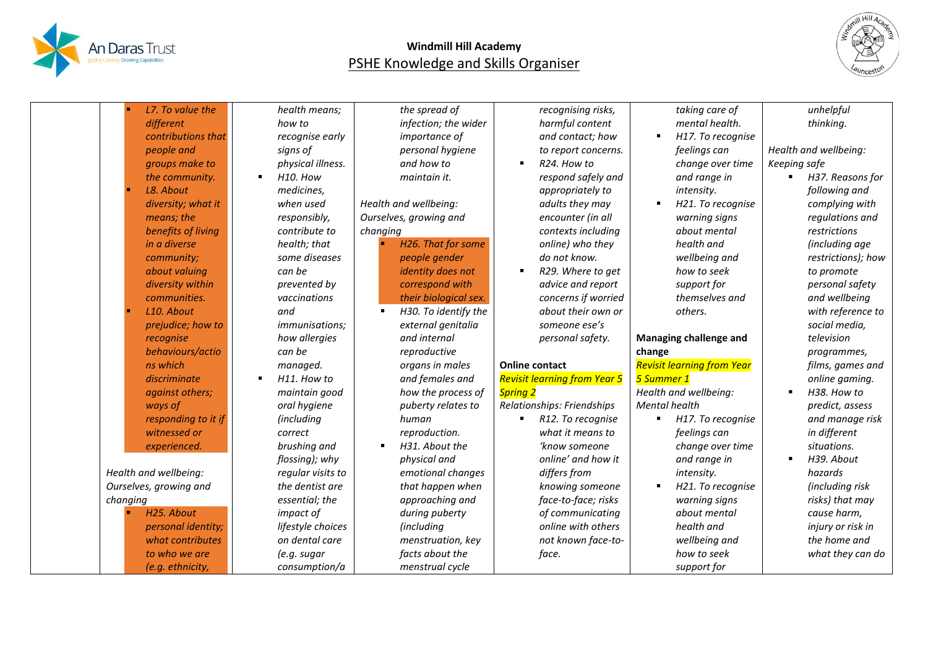



|          | L7. To value the       | health means;              | the spread of          | recognising risks,                  | taking care of                    | unhelpful                            |
|----------|------------------------|----------------------------|------------------------|-------------------------------------|-----------------------------------|--------------------------------------|
|          | different              | how to                     | infection; the wider   | harmful content                     | mental health.                    | thinking.                            |
|          | contributions that     | recognise early            | importance of          | and contact; how                    |                                   | H17. To recognise                    |
|          | people and             | signs of                   | personal hygiene       | to report concerns.                 | feelings can                      | Health and wellbeing:                |
|          | groups make to         | physical illness.          | and how to             | R24. How to<br>$\blacksquare$       |                                   | change over time<br>Keeping safe     |
|          | the community.         | H10. How<br>$\blacksquare$ | maintain it.           | respond safely and                  | and range in                      | H37. Reasons for<br>$\blacksquare$   |
|          | L8. About              | medicines,                 |                        | appropriately to                    | intensity.                        | following and                        |
|          | diversity; what it     | when used                  | Health and wellbeing:  | adults they may                     |                                   | H21. To recognise<br>complying with  |
|          | means; the             | responsibly,               | Ourselves, growing and | encounter (in all                   | warning signs                     | regulations and                      |
|          | benefits of living     | contribute to              | changing               | contexts including                  | about mental                      | restrictions                         |
|          | in a diverse           | health; that               | H26. That for some     | online) who they                    | health and                        | (including age                       |
|          | community;             | some diseases              | people gender          | do not know.                        | wellbeing and                     | restrictions); how                   |
|          | about valuing          | can be                     | identity does not      | R29. Where to get<br>$\blacksquare$ | how to seek                       | to promote                           |
|          | diversity within       | prevented by               | correspond with        | advice and report                   | support for                       | personal safety                      |
|          | communities.           | vaccinations               | their biological sex.  | concerns if worried                 |                                   | themselves and<br>and wellbeing      |
|          | L10. About             | and                        | H30. To identify the   | about their own or                  | others.                           | with reference to                    |
|          | prejudice; how to      | <i>immunisations;</i>      | external genitalia     | someone ese's                       |                                   | social media,                        |
|          | recognise              | how allergies              | and internal           | personal safety.                    | <b>Managing challenge and</b>     | television                           |
|          | behaviours/actio       | can be                     | reproductive           |                                     | change                            | programmes,                          |
|          | ns which               | managed.                   | organs in males        | <b>Online contact</b>               | <b>Revisit learning from Year</b> | films, games and                     |
|          | discriminate           | H11. How to<br>п           | and females and        | <b>Revisit learning from Year 5</b> | 5 Summer 1                        | online gaming.                       |
|          | against others;        | maintain good              | how the process of     | <b>Spring 2</b>                     | Health and wellbeing:             | H38. How to                          |
|          | ways of                | oral hygiene               | puberty relates to     | Relationships: Friendships          | Mental health                     | predict, assess                      |
|          | responding to it if    | (including                 | human                  | R12. To recognise                   |                                   | and manage risk<br>H17. To recognise |
|          | witnessed or           | correct                    | reproduction.          | what it means to                    | feelings can                      | in different                         |
|          | experienced.           | brushing and               | H31. About the         | 'know someone                       |                                   | change over time<br>situations.      |
|          |                        | flossing); why             | physical and           | online' and how it                  | and range in                      | H39. About                           |
|          | Health and wellbeing:  | regular visits to          | emotional changes      | differs from                        | intensity.                        | hazards                              |
|          | Ourselves, growing and | the dentist are            | that happen when       | knowing someone                     |                                   | (including risk<br>H21. To recognise |
| changing |                        | essential; the             | approaching and        | face-to-face; risks                 | warning signs                     | risks) that may                      |
|          | H25. About             | impact of                  | during puberty         | of communicating                    | about mental                      | cause harm,                          |
|          | personal identity;     | lifestyle choices          | (including             | online with others                  | health and                        | injury or risk in                    |
|          | what contributes       | on dental care             | menstruation, key      | not known face-to-                  | wellbeing and                     | the home and                         |
|          | to who we are          | (e.g. sugar                | facts about the        | face.                               | how to seek                       | what they can do                     |
|          | (e.g. ethnicity,       | consumption/a              | menstrual cycle        |                                     | support for                       |                                      |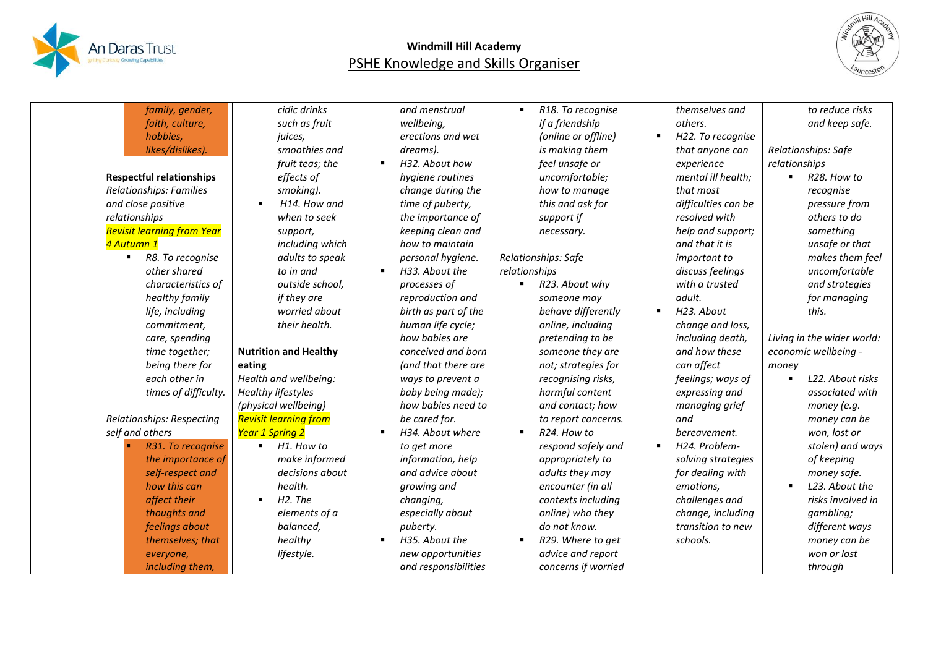



| family, gender,                    | cidic drinks                           | and menstrual                      | R18. To recognise   | themselves and      | to reduce risks                    |
|------------------------------------|----------------------------------------|------------------------------------|---------------------|---------------------|------------------------------------|
| faith, culture,                    | such as fruit                          | wellbeing,                         | if a friendship     | others.             | and keep safe.                     |
| hobbies,                           | juices,                                | erections and wet                  | (online or offline) | H22. To recognise   |                                    |
| likes/dislikes).                   | smoothies and                          | dreams).                           | is making them      | that anyone can     | Relationships: Safe                |
|                                    | fruit teas; the                        | H32. About how<br>$\blacksquare$   | feel unsafe or      | experience          | relationships                      |
| <b>Respectful relationships</b>    | effects of                             | hygiene routines                   | uncomfortable;      | mental ill health:  | R28. How to                        |
| Relationships: Families            | smoking).                              | change during the                  | how to manage       | that most           | recognise                          |
| and close positive                 | H14. How and<br>$\blacksquare$         | time of puberty,                   | this and ask for    | difficulties can be | pressure from                      |
| relationships                      | when to seek                           | the importance of                  | support if          | resolved with       | others to do                       |
| <b>Revisit learning from Year</b>  | support,                               | keeping clean and                  | necessary.          | help and support;   | something                          |
| 4 Autumn 1                         | including which                        | how to maintain                    |                     | and that it is      | unsafe or that                     |
| R8. To recognise<br>$\blacksquare$ | adults to speak                        | personal hygiene.                  | Relationships: Safe | <i>important to</i> | makes them feel                    |
| other shared                       | to in and                              | H33. About the<br>$\blacksquare$   | relationships       | discuss feelings    | uncomfortable                      |
| characteristics of                 | outside school,                        | processes of                       | R23. About why      | with a trusted      | and strategies                     |
| healthy family                     | if they are                            | reproduction and                   | someone may         | adult.              | for managing                       |
| life, including                    | worried about                          | birth as part of the               | behave differently  | H23. About          | this.                              |
| commitment,                        | their health.                          | human life cycle;                  | online, including   | change and loss,    |                                    |
| care, spending                     |                                        | how babies are                     | pretending to be    | including death,    | Living in the wider world:         |
| time together;                     | <b>Nutrition and Healthy</b>           | conceived and born                 | someone they are    | and how these       | economic wellbeing -               |
| being there for                    | eating                                 | (and that there are                | not; strategies for | can affect          | money                              |
| each other in                      | Health and wellbeing:                  | ways to prevent a                  | recognising risks,  | feelings; ways of   | L22. About risks<br>$\blacksquare$ |
| times of difficulty.               | <b>Healthy lifestyles</b>              | baby being made);                  | harmful content     | expressing and      | associated with                    |
|                                    | (physical wellbeing)                   | how babies need to                 | and contact; how    | managing grief      | money (e.g.                        |
| Relationships: Respecting          | <b>Revisit learning from</b>           | be cared for.                      | to report concerns. | and                 | money can be                       |
| self and others                    | <b>Year 1 Spring 2</b>                 | H34. About where<br>$\blacksquare$ | R24. How to         | bereavement.        | won, lost or                       |
| R31. To recognise                  | H1. How to<br>$\blacksquare$           | to get more                        | respond safely and  | H24. Problem-       | stolen) and ways                   |
| the importance of                  | make informed                          | information, help                  | appropriately to    | solving strategies  | of keeping                         |
| self-respect and                   | decisions about                        | and advice about                   | adults they may     | for dealing with    | money safe.                        |
| how this can                       | health.                                | growing and                        | encounter (in all   | emotions,           | L23. About the                     |
| affect their                       | H <sub>2</sub> . The<br>$\blacksquare$ | changing,                          | contexts including  | challenges and      | risks involved in                  |
| thoughts and                       | elements of a                          | especially about                   | online) who they    | change, including   | gambling;                          |
| feelings about                     | balanced,                              | puberty.                           | do not know.        | transition to new   | different ways                     |
| themselves; that                   | healthy                                | H35. About the<br>$\blacksquare$   | R29. Where to get   | schools.            | money can be                       |
| everyone,                          | lifestyle.                             | new opportunities                  | advice and report   |                     | won or lost                        |
| including them,                    |                                        | and responsibilities               | concerns if worried |                     | through                            |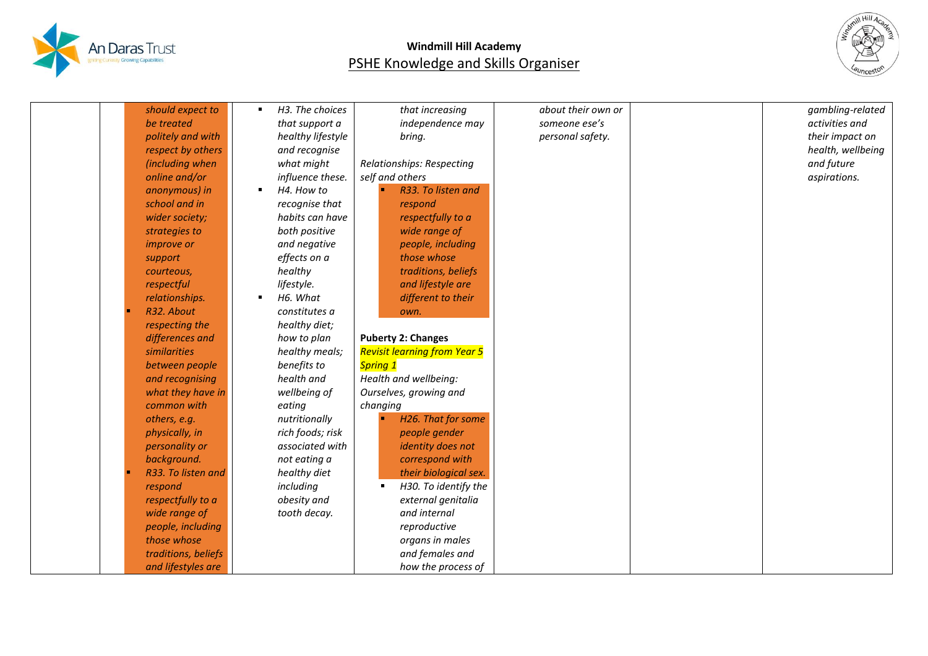



| should expect to    | H3. The choices<br>$\blacksquare$ | that increasing                        | about their own or | gambling-related  |
|---------------------|-----------------------------------|----------------------------------------|--------------------|-------------------|
| be treated          | that support a                    | independence may                       | someone ese's      | activities and    |
| politely and with   | healthy lifestyle                 | bring.                                 | personal safety.   | their impact on   |
| respect by others   | and recognise                     |                                        |                    | health, wellbeing |
| (including when     | what might                        | Relationships: Respecting              |                    | and future        |
| online and/or       | influence these.                  | self and others                        |                    | aspirations.      |
| anonymous) in       | H4. How to<br>$\blacksquare$      | R33. To listen and                     |                    |                   |
| school and in       | recognise that                    | respond                                |                    |                   |
| wider society;      | habits can have                   | respectfully to a                      |                    |                   |
| strategies to       | both positive                     | wide range of                          |                    |                   |
| <i>improve or</i>   | and negative                      | people, including                      |                    |                   |
| support             | effects on a                      | those whose                            |                    |                   |
| courteous,          | healthy                           | traditions, beliefs                    |                    |                   |
| respectful          | lifestyle.                        | and lifestyle are                      |                    |                   |
| relationships.      | H6. What<br>$\blacksquare$        | different to their                     |                    |                   |
| R32. About          | constitutes a                     | own.                                   |                    |                   |
| respecting the      | healthy diet;                     |                                        |                    |                   |
| differences and     | how to plan                       | <b>Puberty 2: Changes</b>              |                    |                   |
| similarities        | healthy meals;                    | <b>Revisit learning from Year 5</b>    |                    |                   |
| between people      | benefits to                       | Spring 1                               |                    |                   |
| and recognising     | health and                        | Health and wellbeing:                  |                    |                   |
| what they have in   | wellbeing of                      | Ourselves, growing and                 |                    |                   |
| common with         | eating                            | changing                               |                    |                   |
| others, e.g.        | nutritionally                     | H26. That for some                     |                    |                   |
| physically, in      | rich foods; risk                  | people gender                          |                    |                   |
| personality or      | associated with                   | identity does not                      |                    |                   |
| background.         | not eating a                      | correspond with                        |                    |                   |
| R33. To listen and  | healthy diet                      | their biological sex.                  |                    |                   |
| respond             | including                         | H30. To identify the<br>$\blacksquare$ |                    |                   |
| respectfully to a   | obesity and                       | external genitalia                     |                    |                   |
| wide range of       | tooth decay.                      | and internal                           |                    |                   |
| people, including   |                                   | reproductive                           |                    |                   |
| those whose         |                                   | organs in males                        |                    |                   |
| traditions, beliefs |                                   | and females and                        |                    |                   |
| and lifestyles are  |                                   | how the process of                     |                    |                   |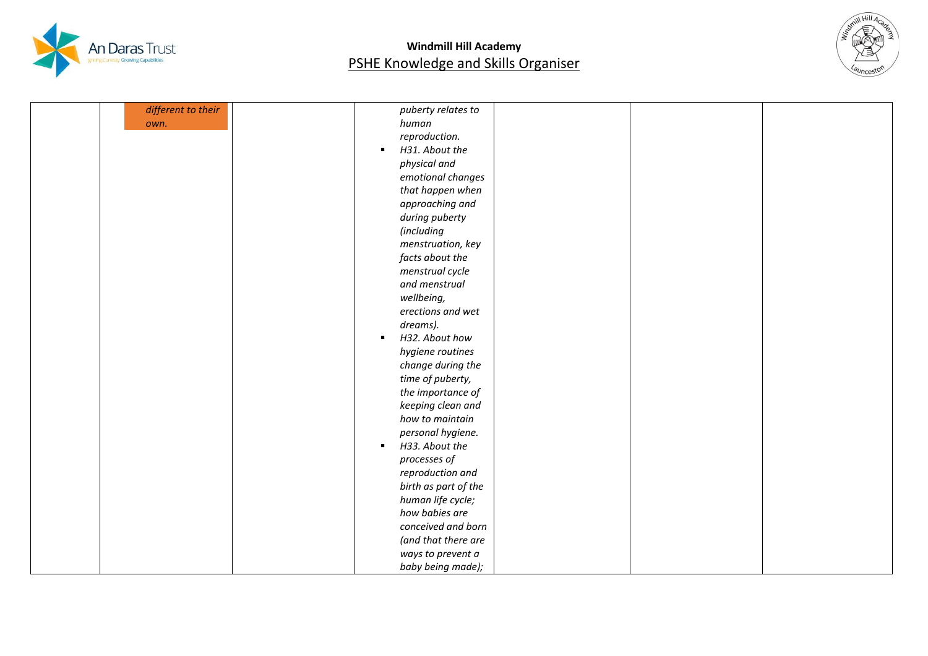



| different to their | puberty relates to               |  |  |
|--------------------|----------------------------------|--|--|
| own.               | human                            |  |  |
|                    | reproduction.                    |  |  |
|                    | H31. About the<br>٠.             |  |  |
|                    | physical and                     |  |  |
|                    | emotional changes                |  |  |
|                    | that happen when                 |  |  |
|                    | approaching and                  |  |  |
|                    | during puberty                   |  |  |
|                    | (including                       |  |  |
|                    | menstruation, key                |  |  |
|                    | facts about the                  |  |  |
|                    | menstrual cycle                  |  |  |
|                    | and menstrual                    |  |  |
|                    | wellbeing,                       |  |  |
|                    | erections and wet                |  |  |
|                    | dreams).                         |  |  |
|                    | H32. About how<br>$\blacksquare$ |  |  |
|                    | hygiene routines                 |  |  |
|                    | change during the                |  |  |
|                    | time of puberty,                 |  |  |
|                    | the importance of                |  |  |
|                    | keeping clean and                |  |  |
|                    | how to maintain                  |  |  |
|                    | personal hygiene.                |  |  |
|                    | H33. About the<br>$\blacksquare$ |  |  |
|                    | processes of                     |  |  |
|                    | reproduction and                 |  |  |
|                    | birth as part of the             |  |  |
|                    | human life cycle;                |  |  |
|                    | how babies are                   |  |  |
|                    | conceived and born               |  |  |
|                    | (and that there are              |  |  |
|                    | ways to prevent a                |  |  |
|                    | baby being made);                |  |  |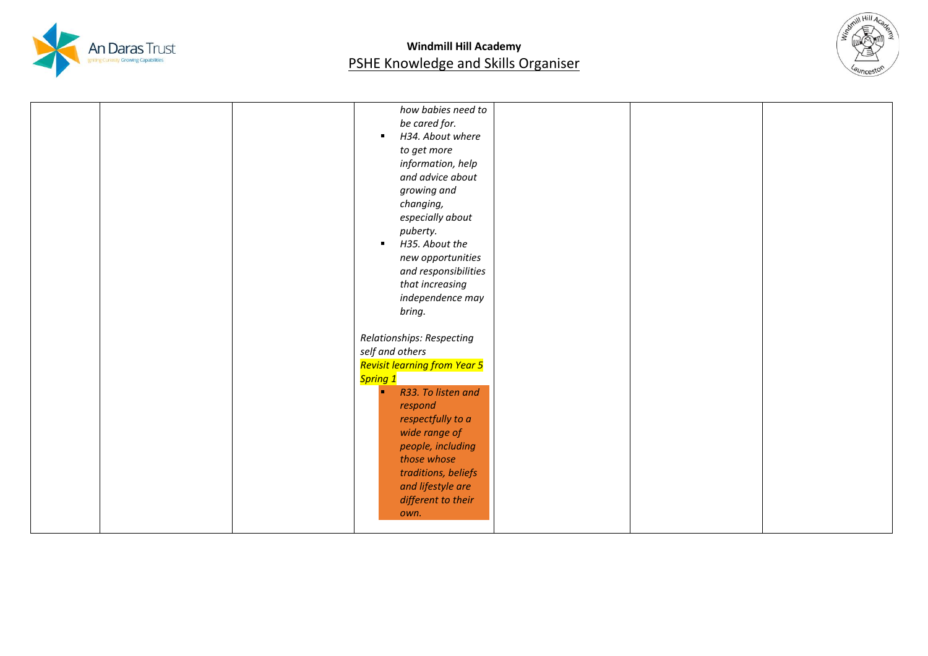



|  | how babies need to<br>be cared for.<br>H34. About where<br>$\blacksquare$ |  |  |
|--|---------------------------------------------------------------------------|--|--|
|  | to get more                                                               |  |  |
|  | information, help                                                         |  |  |
|  | and advice about                                                          |  |  |
|  | growing and                                                               |  |  |
|  | changing,                                                                 |  |  |
|  | especially about                                                          |  |  |
|  | puberty.                                                                  |  |  |
|  | H35. About the<br>$\blacksquare$                                          |  |  |
|  | new opportunities                                                         |  |  |
|  | and responsibilities                                                      |  |  |
|  | that increasing                                                           |  |  |
|  | independence may                                                          |  |  |
|  | bring.                                                                    |  |  |
|  |                                                                           |  |  |
|  | Relationships: Respecting<br>self and others                              |  |  |
|  | Revisit learning from Year 5                                              |  |  |
|  | <mark>Spring 1</mark>                                                     |  |  |
|  | R33. To listen and<br>×                                                   |  |  |
|  | respond                                                                   |  |  |
|  | respectfully to a                                                         |  |  |
|  | wide range of                                                             |  |  |
|  | people, including                                                         |  |  |
|  | those whose                                                               |  |  |
|  | traditions, beliefs                                                       |  |  |
|  | and lifestyle are                                                         |  |  |
|  | different to their                                                        |  |  |
|  | own.                                                                      |  |  |
|  |                                                                           |  |  |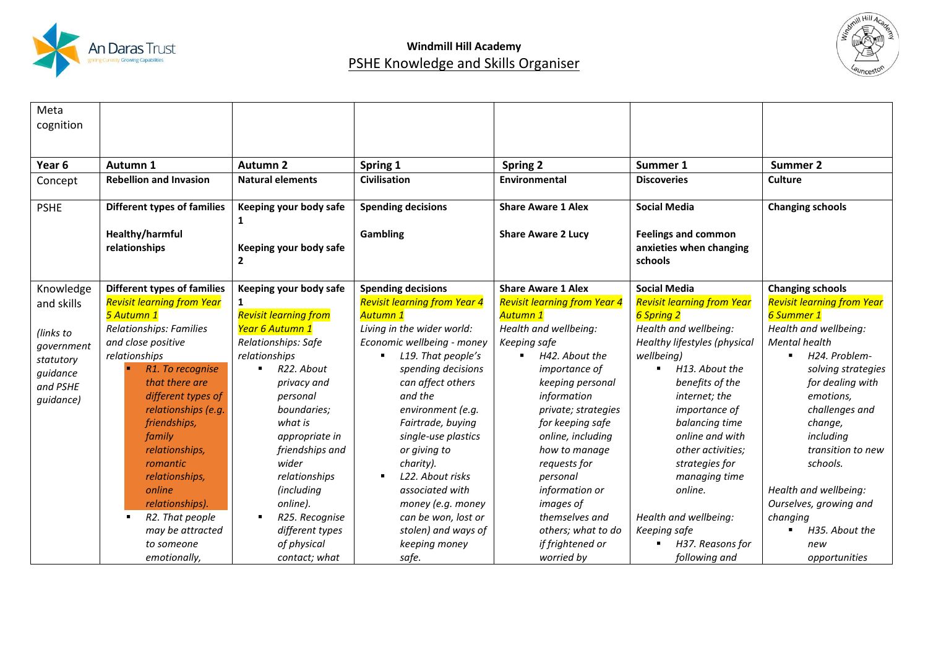



| Meta<br>cognition |                                    |                              |                                     |                                     |                                   |                                   |
|-------------------|------------------------------------|------------------------------|-------------------------------------|-------------------------------------|-----------------------------------|-----------------------------------|
|                   |                                    |                              |                                     |                                     |                                   |                                   |
| Year 6            | Autumn 1                           | <b>Autumn 2</b>              | Spring 1                            | Spring 2                            | Summer 1                          | Summer 2                          |
| Concept           | <b>Rebellion and Invasion</b>      | <b>Natural elements</b>      | <b>Civilisation</b>                 | Environmental                       | <b>Discoveries</b>                | <b>Culture</b>                    |
| <b>PSHE</b>       | <b>Different types of families</b> | Keeping your body safe       | <b>Spending decisions</b>           | <b>Share Aware 1 Alex</b>           | <b>Social Media</b>               | <b>Changing schools</b>           |
|                   | Healthy/harmful                    | 1                            | Gambling                            | <b>Share Aware 2 Lucy</b>           | <b>Feelings and common</b>        |                                   |
|                   | relationships                      | Keeping your body safe       |                                     |                                     | anxieties when changing           |                                   |
|                   |                                    | $\overline{2}$               |                                     |                                     | schools                           |                                   |
| Knowledge         | <b>Different types of families</b> | Keeping your body safe       | <b>Spending decisions</b>           | <b>Share Aware 1 Alex</b>           | <b>Social Media</b>               | <b>Changing schools</b>           |
| and skills        | <b>Revisit learning from Year</b>  | 1                            | <b>Revisit learning from Year 4</b> | <b>Revisit learning from Year 4</b> | <b>Revisit learning from Year</b> | <b>Revisit learning from Year</b> |
|                   | 5 Autumn 1                         | <b>Revisit learning from</b> | <b>Autumn 1</b>                     | Autumn 1                            | 6 Spring 2                        | 6 Summer 1                        |
| (links to         | Relationships: Families            | Year 6 Autumn 1              | Living in the wider world:          | Health and wellbeing:               | Health and wellbeing:             | Health and wellbeing:             |
| government        | and close positive                 | Relationships: Safe          | Economic wellbeing - money          | Keeping safe                        | Healthy lifestyles (physical      | <b>Mental health</b>              |
| statutory         | relationships                      | relationships                | L19. That people's                  | H42. About the                      | wellbeing)                        | H24. Problem-                     |
| guidance          | R1. To recognise                   | R22. About<br>$\blacksquare$ | spending decisions                  | <i>importance of</i>                | H13. About the<br>$\blacksquare$  | solving strategies                |
| and PSHE          | that there are                     | privacy and                  | can affect others                   | keeping personal                    | benefits of the                   | for dealing with                  |
| guidance)         | different types of                 | personal                     | and the                             | information                         | internet; the                     | emotions,                         |
|                   | relationships (e.g.                | boundaries;                  | environment (e.g.                   | private; strategies                 | importance of                     | challenges and                    |
|                   | friendships,                       | what is                      | Fairtrade, buying                   | for keeping safe                    | balancing time                    | change,                           |
|                   | family                             | appropriate in               | single-use plastics                 | online, including                   | online and with                   | including                         |
|                   | relationships,                     | friendships and              | or giving to                        | how to manage                       | other activities;                 | transition to new                 |
|                   | romantic                           | wider                        | charity).                           | requests for                        | strategies for                    | schools.                          |
|                   | relationships,                     | relationships                | L22. About risks                    | personal                            | managing time                     |                                   |
|                   | online                             | (including                   | associated with                     | information or                      | online.                           | Health and wellbeing:             |
|                   | relationships).                    | online).                     | money (e.g. money                   | <i>images of</i>                    |                                   | Ourselves, growing and            |
|                   | R2. That people<br>$\blacksquare$  | R25. Recognise               | can be won, lost or                 | themselves and                      | Health and wellbeing:             | changing                          |
|                   | may be attracted                   | different types              | stolen) and ways of                 | others; what to do                  | Keeping safe                      | H35. About the                    |
|                   | to someone                         | of physical                  | keeping money                       | if frightened or                    | H37. Reasons for                  | new                               |
|                   | emotionally,                       | contact; what                | safe.                               | worried by                          | following and                     | opportunities                     |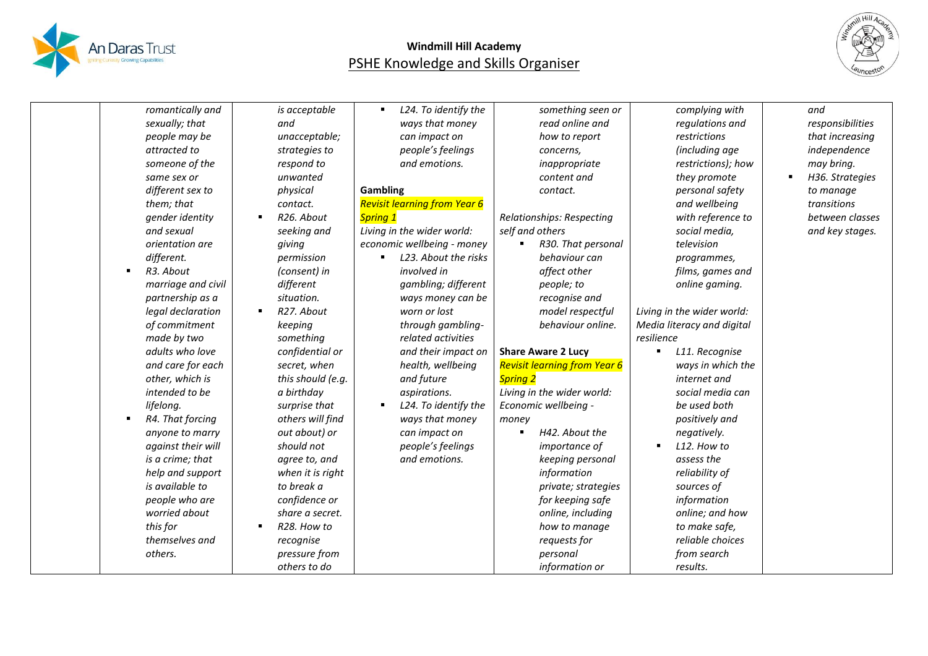



| romantically and   |                   | L24. To identify the                | something seen or                   |                               | and              |
|--------------------|-------------------|-------------------------------------|-------------------------------------|-------------------------------|------------------|
|                    | is acceptable     |                                     |                                     | complying with                |                  |
| sexually; that     | and               | ways that money                     | read online and                     | regulations and               | responsibilities |
| people may be      | unacceptable;     | can impact on                       | how to report                       | restrictions                  | that increasing  |
| attracted to       | strategies to     | people's feelings                   | concerns,                           | (including age                | independence     |
| someone of the     | respond to        | and emotions.                       | inappropriate                       | restrictions); how            | may bring.       |
| same sex or        | unwanted          |                                     | content and                         | they promote                  | H36. Strategies  |
| different sex to   | physical          | <b>Gambling</b>                     | contact.                            | personal safety               | to manage        |
| them; that         | contact.          | <b>Revisit learning from Year 6</b> |                                     | and wellbeing                 | transitions      |
| gender identity    | R26. About        | <b>Spring 1</b>                     | Relationships: Respecting           | with reference to             | between classes  |
| and sexual         | seeking and       | Living in the wider world:          | self and others                     | social media,                 | and key stages.  |
| orientation are    | giving            | economic wellbeing - money          | R30. That personal                  | television                    |                  |
| different.         | permission        | L23. About the risks                | behaviour can                       | programmes,                   |                  |
| R3. About          | (consent) in      | involved in                         | affect other                        | films, games and              |                  |
| marriage and civil | different         | gambling; different                 | people; to                          | online gaming.                |                  |
| partnership as a   | situation.        | ways money can be                   | recognise and                       |                               |                  |
| legal declaration  | R27. About        | worn or lost                        | model respectful                    | Living in the wider world:    |                  |
| of commitment      | keeping           | through gambling-                   | behaviour online.                   | Media literacy and digital    |                  |
| made by two        | something         | related activities                  |                                     | resilience                    |                  |
| adults who love    | confidential or   | and their impact on                 | <b>Share Aware 2 Lucy</b>           | L11. Recognise<br>٠           |                  |
| and care for each  | secret, when      | health, wellbeing                   | <b>Revisit learning from Year 6</b> | ways in which the             |                  |
| other, which is    | this should (e.g. | and future                          | <b>Spring 2</b>                     | internet and                  |                  |
| intended to be     | a birthday        | aspirations.                        | Living in the wider world:          | social media can              |                  |
| lifelong.          | surprise that     | L24. To identify the                | Economic wellbeing -                | be used both                  |                  |
| R4. That forcing   | others will find  | ways that money                     | money                               | positively and                |                  |
| anyone to marry    | out about) or     | can impact on                       | H42. About the                      | negatively.                   |                  |
| against their will | should not        | people's feelings                   | importance of                       | L12. How to<br>$\blacksquare$ |                  |
| is a crime; that   | agree to, and     | and emotions.                       | keeping personal                    | assess the                    |                  |
| help and support   | when it is right  |                                     | information                         | reliability of                |                  |
| is available to    | to break a        |                                     | private; strategies                 | sources of                    |                  |
| people who are     | confidence or     |                                     | for keeping safe                    | information                   |                  |
| worried about      | share a secret.   |                                     | online, including                   | online; and how               |                  |
| this for           | R28. How to       |                                     | how to manage                       | to make safe,                 |                  |
| themselves and     | recognise         |                                     | requests for                        | reliable choices              |                  |
| others.            | pressure from     |                                     | personal                            | from search                   |                  |
|                    | others to do      |                                     |                                     |                               |                  |
|                    |                   |                                     | information or                      | results.                      |                  |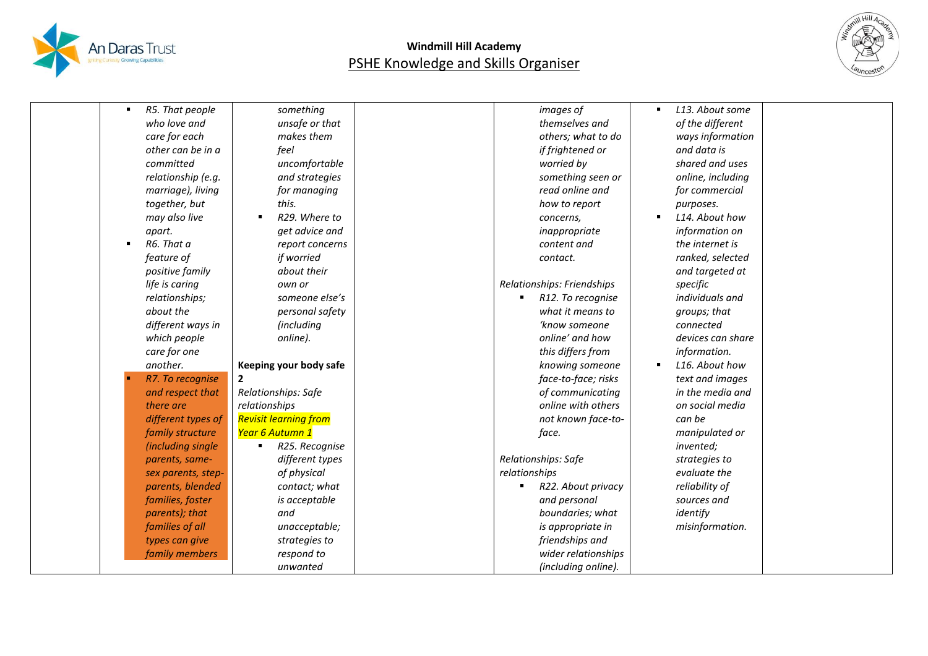



| R5. That people              | something                    | images of                  | L13. About some   |  |
|------------------------------|------------------------------|----------------------------|-------------------|--|
| who love and                 | unsafe or that               | themselves and             | of the different  |  |
| care for each                | makes them                   | others; what to do         | ways information  |  |
| other can be in a            | feel                         | if frightened or           | and data is       |  |
| committed                    | uncomfortable                | worried by                 | shared and uses   |  |
| relationship (e.g.           | and strategies               | something seen or          | online, including |  |
| marriage), living            | for managing                 | read online and            | for commercial    |  |
| together, but                | this.                        | how to report              | purposes.         |  |
| may also live                | R29. Where to                | concerns,                  | L14. About how    |  |
| apart.                       | get advice and               | inappropriate              | information on    |  |
| R6. That a<br>$\blacksquare$ | report concerns              | content and                | the internet is   |  |
| feature of                   | if worried                   | contact.                   | ranked, selected  |  |
| positive family              | about their                  |                            | and targeted at   |  |
| life is caring               | own or                       | Relationships: Friendships | specific          |  |
| relationships;               | someone else's               | R12. To recognise          | individuals and   |  |
| about the                    | personal safety              | what it means to           | groups; that      |  |
| different ways in            | <i>(including</i>            | 'know someone              | connected         |  |
| which people                 | online).                     | online' and how            | devices can share |  |
| care for one                 |                              | this differs from          | information.      |  |
| another.                     | Keeping your body safe       | knowing someone            | L16. About how    |  |
| R7. To recognise             | $\overline{2}$               | face-to-face; risks        | text and images   |  |
| and respect that             | Relationships: Safe          | of communicating           | in the media and  |  |
| there are                    | relationships                | online with others         | on social media   |  |
| different types of           | <b>Revisit learning from</b> | not known face-to-         | can be            |  |
| family structure             | Year 6 Autumn 1              | face.                      | manipulated or    |  |
| (including single            | R25. Recognise               |                            | invented;         |  |
| parents, same-               | different types              | Relationships: Safe        | strategies to     |  |
| sex parents, step-           | of physical                  | relationships              | evaluate the      |  |
| parents, blended             | contact; what                | R22. About privacy         | reliability of    |  |
| families, foster             | is acceptable                | and personal               | sources and       |  |
| parents); that               | and                          | boundaries; what           | identify          |  |
| families of all              | unacceptable;                | is appropriate in          | misinformation.   |  |
| types can give               | strategies to                | friendships and            |                   |  |
| family members               | respond to                   | wider relationships        |                   |  |
|                              | unwanted                     | (including online).        |                   |  |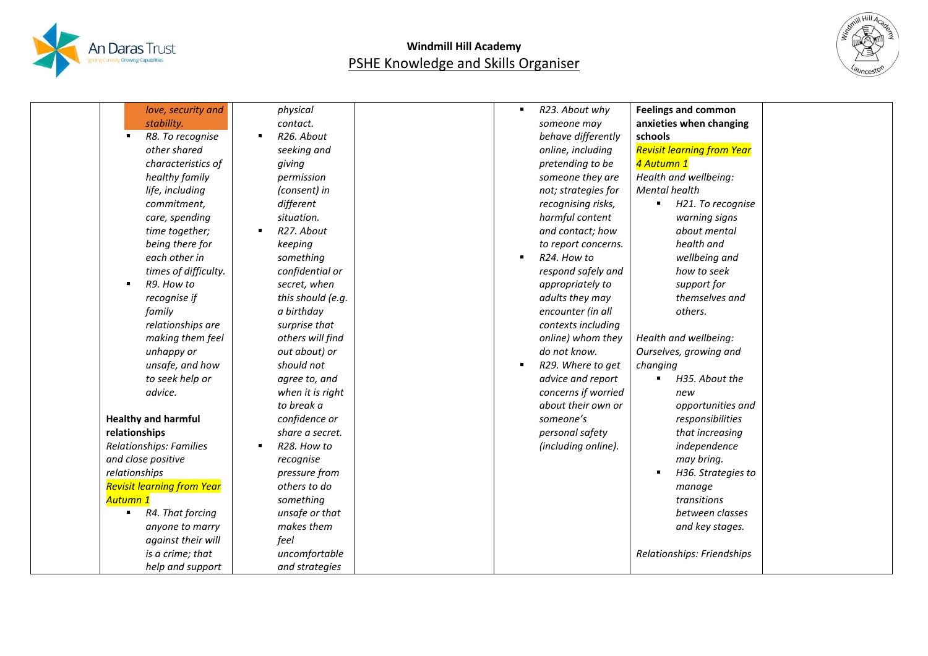



| love, security and                 | physical                      | R23. About why<br>$\blacksquare$ | <b>Feelings and common</b>        |
|------------------------------------|-------------------------------|----------------------------------|-----------------------------------|
| stability.                         | contact.                      | someone may                      | anxieties when changing           |
| R8. To recognise                   | R26. About                    | behave differently               | schools                           |
| other shared                       | seeking and                   | online, including                | <b>Revisit learning from Year</b> |
| characteristics of                 | giving                        | pretending to be                 | 4 Autumn 1                        |
| healthy family                     | permission                    | someone they are                 | Health and wellbeing:             |
| life, including                    | (consent) in                  | not; strategies for              | <b>Mental health</b>              |
| commitment,                        | different                     | recognising risks,               | H21. To recognise<br>٠            |
| care, spending                     | situation.                    | harmful content                  | warning signs                     |
| time together;                     | R27. About<br>$\blacksquare$  | and contact; how                 | about mental                      |
| being there for                    | keeping                       | to report concerns.              | health and                        |
| each other in                      | something                     | R24. How to<br>$\blacksquare$    | wellbeing and                     |
| times of difficulty.               | confidential or               | respond safely and               | how to seek                       |
| R9. How to<br>٠                    | secret, when                  | appropriately to                 | support for                       |
| recognise if                       | this should (e.g.             | adults they may                  | themselves and                    |
| family                             | a birthday                    | encounter (in all                | others.                           |
| relationships are                  | surprise that                 | contexts including               |                                   |
| making them feel                   | others will find              | online) whom they                | Health and wellbeing:             |
| unhappy or                         | out about) or                 | do not know.                     | Ourselves, growing and            |
| unsafe, and how                    | should not                    | R29. Where to get<br>٠           | changing                          |
| to seek help or                    | agree to, and                 | advice and report                | H35. About the                    |
| advice.                            | when it is right              | concerns if worried              | new                               |
|                                    | to break a                    | about their own or               | opportunities and                 |
| <b>Healthy and harmful</b>         | confidence or                 | someone's                        | responsibilities                  |
| relationships                      | share a secret.               | personal safety                  | that increasing                   |
| Relationships: Families            | R28. How to<br>$\blacksquare$ | (including online).              | independence                      |
| and close positive                 | recognise                     |                                  | may bring.                        |
| relationships                      | pressure from                 |                                  | H36. Strategies to                |
| <b>Revisit learning from Year</b>  | others to do                  |                                  | manage                            |
| Autumn 1                           | something                     |                                  | transitions                       |
| R4. That forcing<br>$\blacksquare$ | unsafe or that                |                                  | between classes                   |
| anyone to marry                    | makes them                    |                                  | and key stages.                   |
| against their will                 | feel                          |                                  |                                   |
| is a crime; that                   | uncomfortable                 |                                  | Relationships: Friendships        |
| help and support                   | and strategies                |                                  |                                   |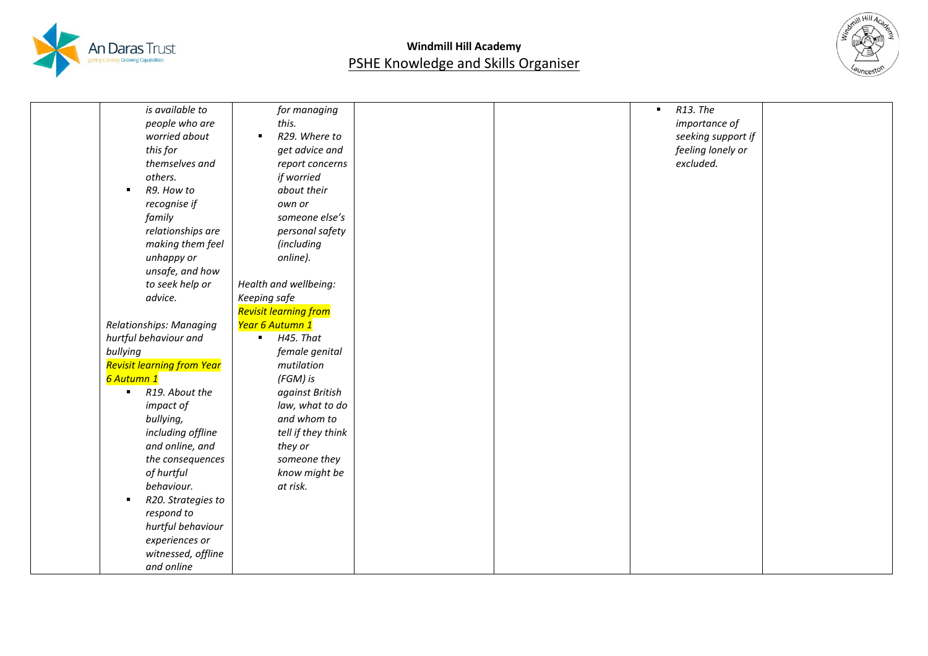



| is available to                   | for managing                    |  | $\blacksquare$ | R13. The           |
|-----------------------------------|---------------------------------|--|----------------|--------------------|
| people who are                    | this.                           |  |                | importance of      |
| worried about                     | R29. Where to<br>$\blacksquare$ |  |                | seeking support if |
| this for                          | get advice and                  |  |                | feeling lonely or  |
| themselves and                    | report concerns                 |  |                | excluded.          |
| others.                           | if worried                      |  |                |                    |
| R9. How to<br>$\blacksquare$      | about their                     |  |                |                    |
| recognise if                      | own or                          |  |                |                    |
| family                            | someone else's                  |  |                |                    |
| relationships are                 | personal safety                 |  |                |                    |
| making them feel                  | (including                      |  |                |                    |
| unhappy or                        | online).                        |  |                |                    |
| unsafe, and how                   |                                 |  |                |                    |
| to seek help or                   | Health and wellbeing:           |  |                |                    |
| advice.                           | Keeping safe                    |  |                |                    |
|                                   | Revisit learning from           |  |                |                    |
| Relationships: Managing           | Year 6 Autumn 1                 |  |                |                    |
| hurtful behaviour and             | H45. That                       |  |                |                    |
| bullying                          | female genital                  |  |                |                    |
| <b>Revisit learning from Year</b> | mutilation                      |  |                |                    |
| <mark>6 Autumn 1</mark>           | (FGM) is                        |  |                |                    |
| R19. About the<br>$\blacksquare$  | against British                 |  |                |                    |
| impact of                         | law, what to do                 |  |                |                    |
| bullying,                         | and whom to                     |  |                |                    |
| including offline                 | tell if they think              |  |                |                    |
| and online, and                   | they or                         |  |                |                    |
| the consequences                  | someone they                    |  |                |                    |
| of hurtful                        | know might be                   |  |                |                    |
| behaviour.                        | at risk.                        |  |                |                    |
| R20. Strategies to<br>٠           |                                 |  |                |                    |
| respond to                        |                                 |  |                |                    |
| hurtful behaviour                 |                                 |  |                |                    |
| experiences or                    |                                 |  |                |                    |
| witnessed, offline                |                                 |  |                |                    |
| and online                        |                                 |  |                |                    |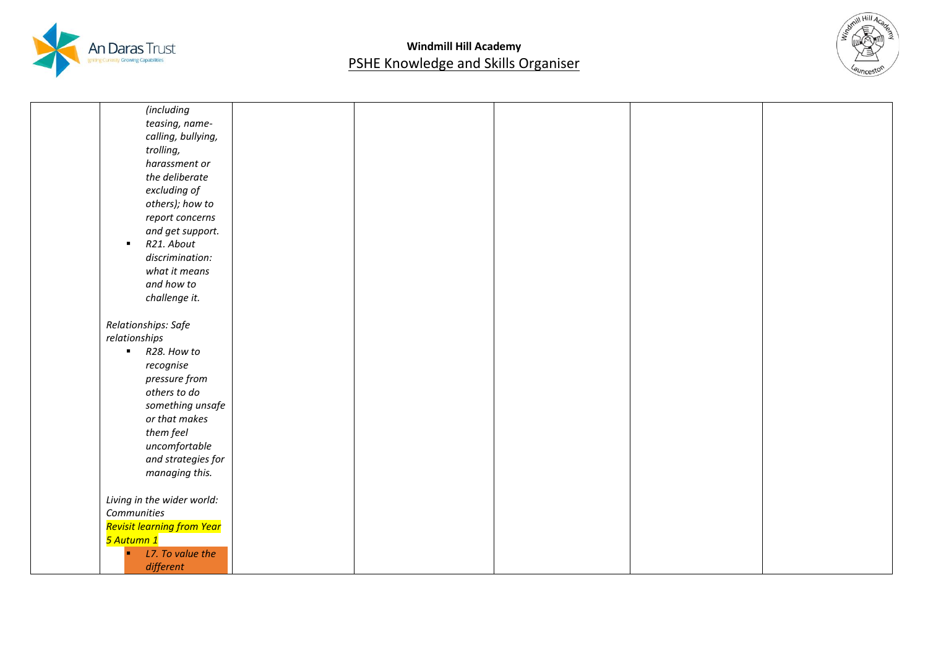



| (including                   |  |  |  |
|------------------------------|--|--|--|
| teasing, name-               |  |  |  |
| calling, bullying,           |  |  |  |
| trolling,                    |  |  |  |
| harassment or                |  |  |  |
| the deliberate               |  |  |  |
|                              |  |  |  |
| excluding of                 |  |  |  |
| others); how to              |  |  |  |
| report concerns              |  |  |  |
| and get support.             |  |  |  |
| R21. About<br>$\blacksquare$ |  |  |  |
| discrimination:              |  |  |  |
| what it means                |  |  |  |
| and how to                   |  |  |  |
| challenge it.                |  |  |  |
|                              |  |  |  |
| Relationships: Safe          |  |  |  |
| relationships                |  |  |  |
| $R28.$ How to                |  |  |  |
| recognise                    |  |  |  |
| pressure from                |  |  |  |
| others to do                 |  |  |  |
| something unsafe             |  |  |  |
| or that makes                |  |  |  |
| them feel                    |  |  |  |
| uncomfortable                |  |  |  |
| and strategies for           |  |  |  |
| managing this.               |  |  |  |
|                              |  |  |  |
| Living in the wider world:   |  |  |  |
| Communities                  |  |  |  |
| Revisit learning from Year   |  |  |  |
| <mark>5 Autumn 1</mark>      |  |  |  |
| L7. To value the<br>m.       |  |  |  |
| different                    |  |  |  |
|                              |  |  |  |